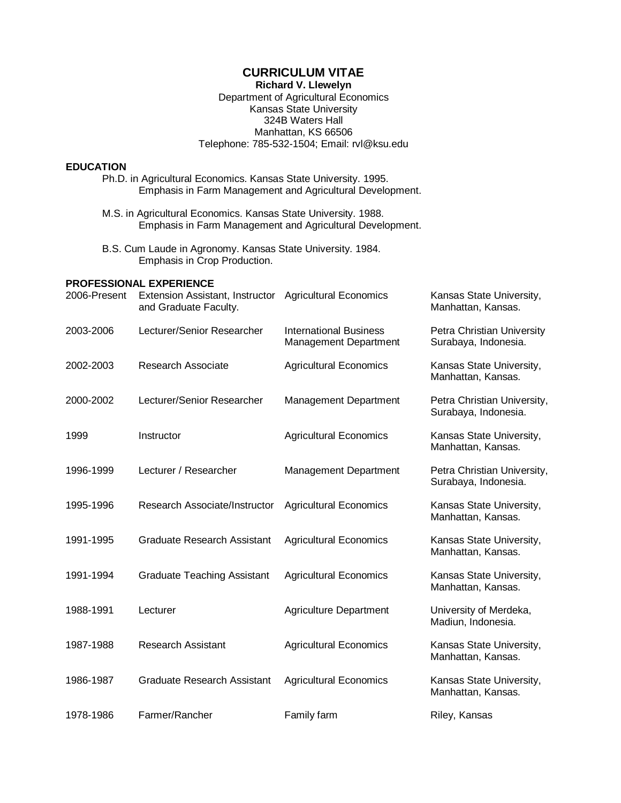## **CURRICULUM VITAE**

### **Richard V. Llewelyn**

#### Department of Agricultural Economics Kansas State University 324B Waters Hall Manhattan, KS 66506 Telephone: 785-532-1504; Email: rvl@ksu.edu

### **EDUCATION**

- Ph.D. in Agricultural Economics. Kansas State University. 1995. Emphasis in Farm Management and Agricultural Development.
- M.S. in Agricultural Economics. Kansas State University. 1988. Emphasis in Farm Management and Agricultural Development.
- B.S. Cum Laude in Agronomy. Kansas State University. 1984. Emphasis in Crop Production.

#### **PROFESSIONAL EXPERIENCE** 2006-Present Extension Assistant, Instructor Agricultural Economics Kansas State University,

| zuud-Present | Extension Assistant, Instructor Agricultural Economics<br>and Graduate Faculty. |                                                               | Kansas State University,<br>Manhattan, Kansas.      |
|--------------|---------------------------------------------------------------------------------|---------------------------------------------------------------|-----------------------------------------------------|
| 2003-2006    | Lecturer/Senior Researcher                                                      | <b>International Business</b><br><b>Management Department</b> | Petra Christian University<br>Surabaya, Indonesia.  |
| 2002-2003    | Research Associate                                                              | <b>Agricultural Economics</b>                                 | Kansas State University,<br>Manhattan, Kansas.      |
| 2000-2002    | Lecturer/Senior Researcher                                                      | <b>Management Department</b>                                  | Petra Christian University,<br>Surabaya, Indonesia. |
| 1999         | Instructor                                                                      | <b>Agricultural Economics</b>                                 | Kansas State University,<br>Manhattan, Kansas.      |
| 1996-1999    | Lecturer / Researcher                                                           | Management Department                                         | Petra Christian University,<br>Surabaya, Indonesia. |
| 1995-1996    | Research Associate/Instructor                                                   | <b>Agricultural Economics</b>                                 | Kansas State University,<br>Manhattan, Kansas.      |
| 1991-1995    | <b>Graduate Research Assistant</b>                                              | <b>Agricultural Economics</b>                                 | Kansas State University,<br>Manhattan, Kansas.      |
| 1991-1994    | <b>Graduate Teaching Assistant</b>                                              | <b>Agricultural Economics</b>                                 | Kansas State University,<br>Manhattan, Kansas.      |
| 1988-1991    | Lecturer                                                                        | <b>Agriculture Department</b>                                 | University of Merdeka,<br>Madiun, Indonesia.        |
| 1987-1988    | <b>Research Assistant</b>                                                       | <b>Agricultural Economics</b>                                 | Kansas State University,<br>Manhattan, Kansas.      |
| 1986-1987    | <b>Graduate Research Assistant</b>                                              | <b>Agricultural Economics</b>                                 | Kansas State University,<br>Manhattan, Kansas.      |
| 1978-1986    | Farmer/Rancher                                                                  | Family farm                                                   | Riley, Kansas                                       |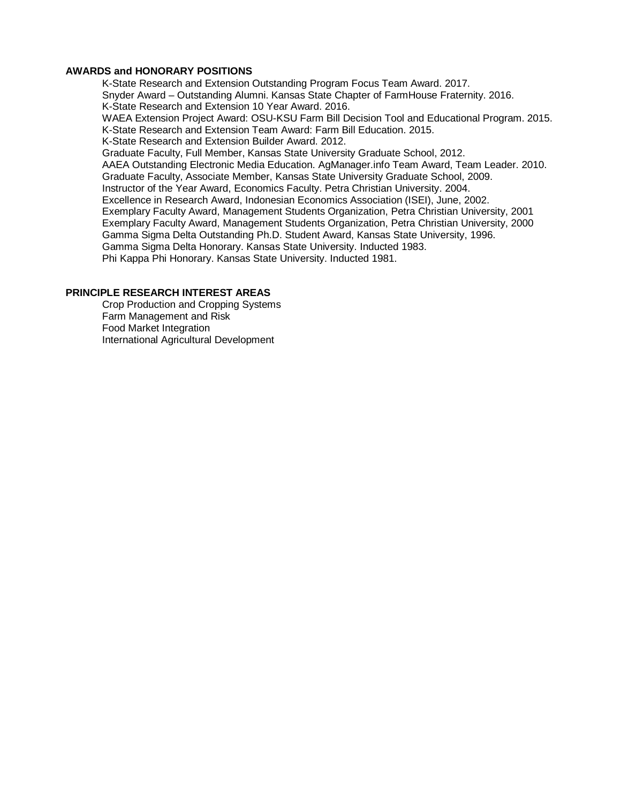#### **AWARDS and HONORARY POSITIONS**

K-State Research and Extension Outstanding Program Focus Team Award. 2017. Snyder Award – Outstanding Alumni. Kansas State Chapter of FarmHouse Fraternity. 2016. K-State Research and Extension 10 Year Award. 2016. WAEA Extension Project Award: OSU-KSU Farm Bill Decision Tool and Educational Program. 2015. K-State Research and Extension Team Award: Farm Bill Education. 2015. K-State Research and Extension Builder Award. 2012. Graduate Faculty, Full Member, Kansas State University Graduate School, 2012. AAEA Outstanding Electronic Media Education. AgManager.info Team Award, Team Leader. 2010. Graduate Faculty, Associate Member, Kansas State University Graduate School, 2009. Instructor of the Year Award, Economics Faculty. Petra Christian University. 2004. Excellence in Research Award, Indonesian Economics Association (ISEI), June, 2002. Exemplary Faculty Award, Management Students Organization, Petra Christian University, 2001 Exemplary Faculty Award, Management Students Organization, Petra Christian University, 2000 Gamma Sigma Delta Outstanding Ph.D. Student Award, Kansas State University, 1996. Gamma Sigma Delta Honorary. Kansas State University. Inducted 1983. Phi Kappa Phi Honorary. Kansas State University. Inducted 1981.

## **PRINCIPLE RESEARCH INTEREST AREAS**

Crop Production and Cropping Systems Farm Management and Risk Food Market Integration International Agricultural Development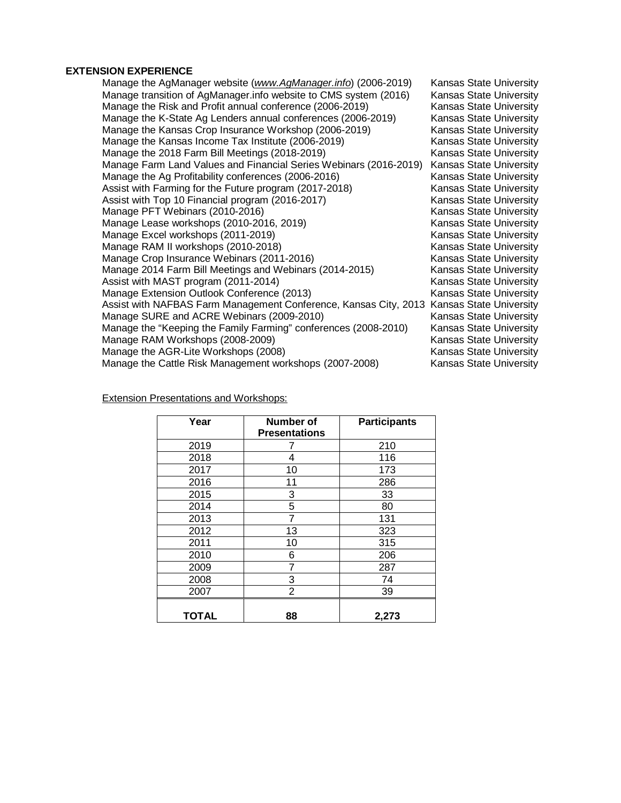### **EXTENSION EXPERIENCE**

| Manage the AgManager website (www.AgManager.info) (2006-2019)                            | <b>Kansas State University</b> |
|------------------------------------------------------------------------------------------|--------------------------------|
| Manage transition of AgManager.info website to CMS system (2016)                         | <b>Kansas State University</b> |
| Manage the Risk and Profit annual conference (2006-2019)                                 | <b>Kansas State University</b> |
| Manage the K-State Ag Lenders annual conferences (2006-2019)                             | Kansas State University        |
| Manage the Kansas Crop Insurance Workshop (2006-2019)                                    | <b>Kansas State University</b> |
| Manage the Kansas Income Tax Institute (2006-2019)                                       | <b>Kansas State University</b> |
| Manage the 2018 Farm Bill Meetings (2018-2019)                                           | <b>Kansas State University</b> |
| Manage Farm Land Values and Financial Series Webinars (2016-2019)                        | <b>Kansas State University</b> |
| Manage the Ag Profitability conferences (2006-2016)                                      | Kansas State University        |
| Assist with Farming for the Future program (2017-2018)                                   | <b>Kansas State University</b> |
| Assist with Top 10 Financial program (2016-2017)                                         | <b>Kansas State University</b> |
| Manage PFT Webinars (2010-2016)                                                          | <b>Kansas State University</b> |
| Manage Lease workshops (2010-2016, 2019)                                                 | <b>Kansas State University</b> |
| Manage Excel workshops (2011-2019)                                                       | <b>Kansas State University</b> |
| Manage RAM II workshops (2010-2018)                                                      | <b>Kansas State University</b> |
| Manage Crop Insurance Webinars (2011-2016)                                               | <b>Kansas State University</b> |
| Manage 2014 Farm Bill Meetings and Webinars (2014-2015)                                  | Kansas State University        |
| Assist with MAST program (2011-2014)                                                     | <b>Kansas State University</b> |
| Manage Extension Outlook Conference (2013)                                               | <b>Kansas State University</b> |
| Assist with NAFBAS Farm Management Conference, Kansas City, 2013 Kansas State University |                                |
| Manage SURE and ACRE Webinars (2009-2010)                                                | <b>Kansas State University</b> |
| Manage the "Keeping the Family Farming" conferences (2008-2010)                          | <b>Kansas State University</b> |
| Manage RAM Workshops (2008-2009)                                                         | <b>Kansas State University</b> |
| Manage the AGR-Lite Workshops (2008)                                                     | <b>Kansas State University</b> |
| Manage the Cattle Risk Management workshops (2007-2008)                                  | <b>Kansas State University</b> |
|                                                                                          |                                |

Extension Presentations and Workshops:

| Year         | <b>Number of</b><br><b>Presentations</b> | <b>Participants</b> |  |
|--------------|------------------------------------------|---------------------|--|
| 2019         |                                          | 210                 |  |
| 2018         | 4                                        | 116                 |  |
| 2017         | 10                                       | 173                 |  |
| 2016         | 11                                       | 286                 |  |
| 2015         | 3                                        | 33                  |  |
| 2014         | 5                                        | 80                  |  |
| 2013         | 7                                        | 131                 |  |
| 2012         | 13                                       | 323                 |  |
| 2011         | 10                                       | 315                 |  |
| 2010         | 6                                        | 206                 |  |
| 2009         | 7                                        | 287                 |  |
| 2008         | 3                                        | 74                  |  |
| 2007         | 2                                        | 39                  |  |
| <b>TOTAL</b> | 88                                       | 2,273               |  |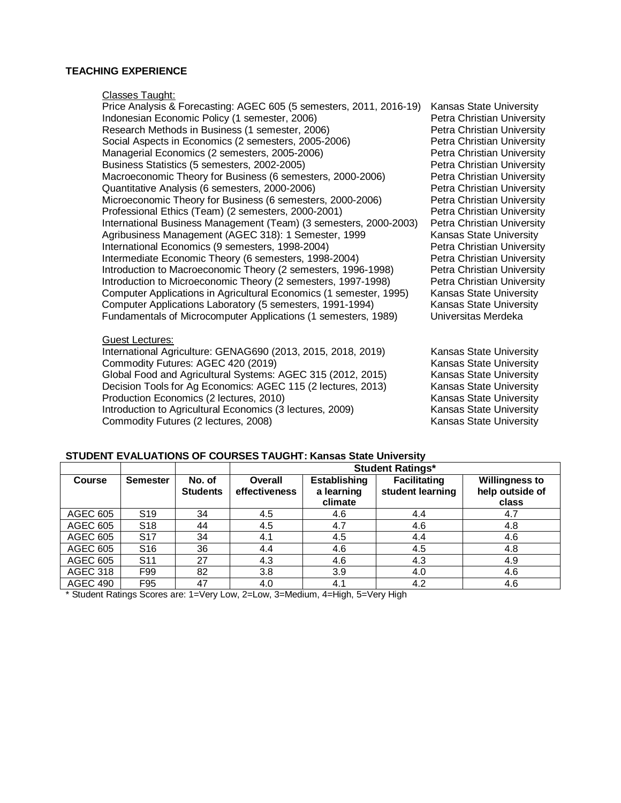#### **TEACHING EXPERIENCE**

Classes Taught:

Price Analysis & Forecasting: AGEC 605 (5 semesters, 2011, 2016-19) Kansas State University Indonesian Economic Policy (1 semester, 2006)<br>
Research Methods in Business (1 semester, 2006)<br>
Petra Christian University Research Methods in Business (1 semester, 2006) Social Aspects in Economics (2 semesters, 2005-2006) Petra Christian University Managerial Economics (2 semesters, 2005-2006)<br>Business Statistics (5 semesters, 2002-2005)<br>Petra Christian University Business Statistics (5 semesters, 2002-2005) Macroeconomic Theory for Business (6 semesters, 2000-2006) Petra Christian University<br>Quantitative Analysis (6 semesters, 2000-2006) Petra Christian University Quantitative Analysis (6 semesters, 2000-2006) Microeconomic Theory for Business (6 semesters, 2000-2006) Petra Christian University Professional Ethics (Team) (2 semesters, 2000-2001) Petra Christian University International Business Management (Team) (3 semesters, 2000-2003) Agribusiness Management (AGEC 318): 1 Semester, 1999 Kansas State University International Economics (9 semesters, 1998-2004)<br>
Intermediate Economic Theory (6 semesters, 1998-2004) Petra Christian University Intermediate Economic Theory (6 semesters, 1998-2004) Introduction to Macroeconomic Theory (2 semesters, 1996-1998) Petra Christian University Introduction to Microeconomic Theory (2 semesters, 1997-1998) Petra Christian University Computer Applications in Agricultural Economics (1 semester, 1995) Kansas State University<br>Computer Applications Laboratory (5 semesters, 1991-1994) Kansas State University Computer Applications Laboratory (5 semesters, 1991-1994) Fundamentals of Microcomputer Applications (1 semesters, 1989) Universitas Merdeka

#### Guest Lectures:

International Agriculture: GENAG690 (2013, 2015, 2018, 2019) Kansas State University<br>Commodity Futures: AGEC 420 (2019) Kansas State University Commodity Futures: AGEC 420 (2019) Global Food and Agricultural Systems: AGEC 315 (2012, 2015) Kansas State University Decision Tools for Ag Economics: AGEC 115 (2 lectures, 2013) Kansas State University<br>Production Economics (2 lectures, 2010) Kansas State University Production Economics (2 lectures, 2010) Introduction to Agricultural Economics (3 lectures, 2009) Kansas State University Commodity Futures (2 lectures, 2008) Commodity Futures (2 lectures, 2008)

| STUDENT EVALUATIONS OF COURSES TAUGHT: Kansas State University |  |  |  |
|----------------------------------------------------------------|--|--|--|
|----------------------------------------------------------------|--|--|--|

|                 |                 |                           | <b>Student Ratings*</b>  |                                              |                                         |                                                   |
|-----------------|-----------------|---------------------------|--------------------------|----------------------------------------------|-----------------------------------------|---------------------------------------------------|
| <b>Course</b>   | <b>Semester</b> | No. of<br><b>Students</b> | Overall<br>effectiveness | <b>Establishing</b><br>a learning<br>climate | <b>Facilitating</b><br>student learning | <b>Willingness to</b><br>help outside of<br>class |
| <b>AGEC 605</b> | S <sub>19</sub> | 34                        | 4.5                      | 4.6                                          | 4.4                                     | 4.7                                               |
| <b>AGEC 605</b> | S <sub>18</sub> | 44                        | 4.5                      | 4.7                                          | 4.6                                     | 4.8                                               |
| AGEC 605        | S <sub>17</sub> | 34                        | 4.1                      | 4.5                                          | 4.4                                     | 4.6                                               |
| <b>AGEC 605</b> | S <sub>16</sub> | 36                        | 4.4                      | 4.6                                          | 4.5                                     | 4.8                                               |
| <b>AGEC 605</b> | S <sub>11</sub> | 27                        | 4.3                      | 4.6                                          | 4.3                                     | 4.9                                               |
| <b>AGEC 318</b> | F99             | 82                        | 3.8                      | 3.9                                          | 4.0                                     | 4.6                                               |
| <b>AGEC 490</b> | F95             | 47                        | 4.0                      | 4.1                                          | 4.2                                     | 4.6                                               |

\* Student Ratings Scores are: 1=Very Low, 2=Low, 3=Medium, 4=High, 5=Very High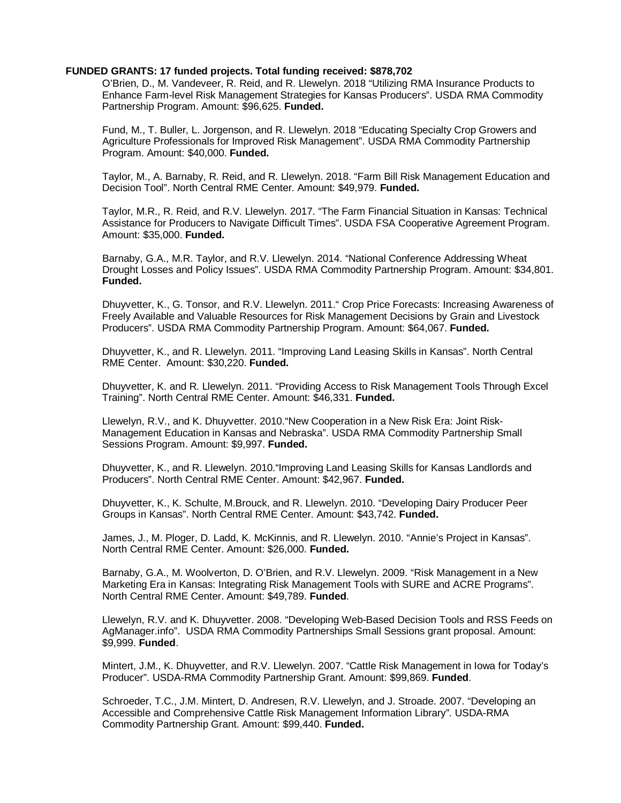#### **FUNDED GRANTS: 17 funded projects. Total funding received: \$878,702**

O'Brien, D., M. Vandeveer, R. Reid, and R. Llewelyn. 2018 "Utilizing RMA Insurance Products to Enhance Farm-level Risk Management Strategies for Kansas Producers". USDA RMA Commodity Partnership Program. Amount: \$96,625. **Funded.**

Fund, M., T. Buller, L. Jorgenson, and R. Llewelyn. 2018 "Educating Specialty Crop Growers and Agriculture Professionals for Improved Risk Management". USDA RMA Commodity Partnership Program. Amount: \$40,000. **Funded.** 

Taylor, M., A. Barnaby, R. Reid, and R. Llewelyn. 2018. "Farm Bill Risk Management Education and Decision Tool". North Central RME Center. Amount: \$49,979. **Funded.**

Taylor, M.R., R. Reid, and R.V. Llewelyn. 2017. "The Farm Financial Situation in Kansas: Technical Assistance for Producers to Navigate Difficult Times". USDA FSA Cooperative Agreement Program. Amount: \$35,000. **Funded.**

Barnaby, G.A., M.R. Taylor, and R.V. Llewelyn. 2014. "National Conference Addressing Wheat Drought Losses and Policy Issues". USDA RMA Commodity Partnership Program. Amount: \$34,801. **Funded.** 

Dhuyvetter, K., G. Tonsor, and R.V. Llewelyn. 2011." Crop Price Forecasts: Increasing Awareness of Freely Available and Valuable Resources for Risk Management Decisions by Grain and Livestock Producers". USDA RMA Commodity Partnership Program. Amount: \$64,067. **Funded.** 

Dhuyvetter, K., and R. Llewelyn. 2011. "Improving Land Leasing Skills in Kansas". North Central RME Center. Amount: \$30,220. **Funded.** 

Dhuyvetter, K. and R. Llewelyn. 2011. "Providing Access to Risk Management Tools Through Excel Training". North Central RME Center. Amount: \$46,331. **Funded.** 

Llewelyn, R.V., and K. Dhuyvetter. 2010."New Cooperation in a New Risk Era: Joint Risk-Management Education in Kansas and Nebraska". USDA RMA Commodity Partnership Small Sessions Program. Amount: \$9,997. **Funded.** 

Dhuyvetter, K., and R. Llewelyn. 2010."Improving Land Leasing Skills for Kansas Landlords and Producers". North Central RME Center. Amount: \$42,967. **Funded.**

Dhuyvetter, K., K. Schulte, M.Brouck, and R. Llewelyn. 2010. "Developing Dairy Producer Peer Groups in Kansas". North Central RME Center. Amount: \$43,742. **Funded.**

James, J., M. Ploger, D. Ladd, K. McKinnis, and R. Llewelyn. 2010. "Annie's Project in Kansas". North Central RME Center. Amount: \$26,000. **Funded.**

Barnaby, G.A., M. Woolverton, D. O'Brien, and R.V. Llewelyn. 2009. "Risk Management in a New Marketing Era in Kansas: Integrating Risk Management Tools with SURE and ACRE Programs". North Central RME Center. Amount: \$49,789. **Funded**.

Llewelyn, R.V. and K. Dhuyvetter. 2008. "Developing Web-Based Decision Tools and RSS Feeds on AgManager.info". USDA RMA Commodity Partnerships Small Sessions grant proposal. Amount: \$9,999. **Funded**.

Mintert, J.M., K. Dhuyvetter, and R.V. Llewelyn. 2007. "Cattle Risk Management in Iowa for Today's Producer". USDA-RMA Commodity Partnership Grant. Amount: \$99,869. **Funded**.

Schroeder, T.C., J.M. Mintert, D. Andresen, R.V. Llewelyn, and J. Stroade. 2007. "Developing an Accessible and Comprehensive Cattle Risk Management Information Library". USDA-RMA Commodity Partnership Grant. Amount: \$99,440. **Funded.**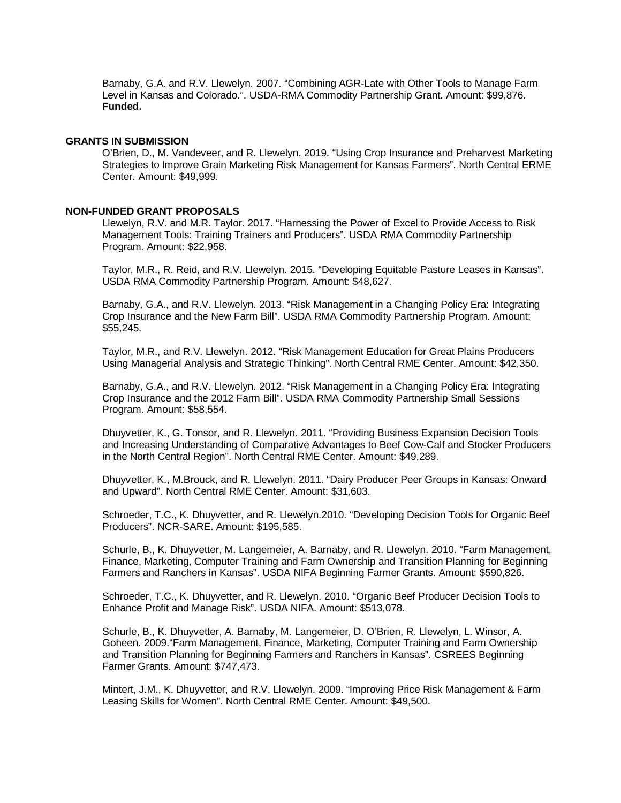Barnaby, G.A. and R.V. Llewelyn. 2007. "Combining AGR-Late with Other Tools to Manage Farm Level in Kansas and Colorado.". USDA-RMA Commodity Partnership Grant. Amount: \$99,876. **Funded.**

#### **GRANTS IN SUBMISSION**

O'Brien, D., M. Vandeveer, and R. Llewelyn. 2019. "Using Crop Insurance and Preharvest Marketing Strategies to Improve Grain Marketing Risk Management for Kansas Farmers". North Central ERME Center. Amount: \$49,999.

#### **NON-FUNDED GRANT PROPOSALS**

Llewelyn, R.V. and M.R. Taylor. 2017. "Harnessing the Power of Excel to Provide Access to Risk Management Tools: Training Trainers and Producers". USDA RMA Commodity Partnership Program. Amount: \$22,958.

Taylor, M.R., R. Reid, and R.V. Llewelyn. 2015. "Developing Equitable Pasture Leases in Kansas". USDA RMA Commodity Partnership Program. Amount: \$48,627.

Barnaby, G.A., and R.V. Llewelyn. 2013. "Risk Management in a Changing Policy Era: Integrating Crop Insurance and the New Farm Bill". USDA RMA Commodity Partnership Program. Amount: \$55,245.

Taylor, M.R., and R.V. Llewelyn. 2012. "Risk Management Education for Great Plains Producers Using Managerial Analysis and Strategic Thinking". North Central RME Center. Amount: \$42,350.

Barnaby, G.A., and R.V. Llewelyn. 2012. "Risk Management in a Changing Policy Era: Integrating Crop Insurance and the 2012 Farm Bill". USDA RMA Commodity Partnership Small Sessions Program. Amount: \$58,554.

Dhuyvetter, K., G. Tonsor, and R. Llewelyn. 2011. "Providing Business Expansion Decision Tools and Increasing Understanding of Comparative Advantages to Beef Cow-Calf and Stocker Producers in the North Central Region". North Central RME Center. Amount: \$49,289.

Dhuyvetter, K., M.Brouck, and R. Llewelyn. 2011. "Dairy Producer Peer Groups in Kansas: Onward and Upward". North Central RME Center. Amount: \$31,603.

Schroeder, T.C., K. Dhuyvetter, and R. Llewelyn.2010. "Developing Decision Tools for Organic Beef Producers". NCR-SARE. Amount: \$195,585.

Schurle, B., K. Dhuyvetter, M. Langemeier, A. Barnaby, and R. Llewelyn. 2010. "Farm Management, Finance, Marketing, Computer Training and Farm Ownership and Transition Planning for Beginning Farmers and Ranchers in Kansas". USDA NIFA Beginning Farmer Grants. Amount: \$590,826.

Schroeder, T.C., K. Dhuyvetter, and R. Llewelyn. 2010. "Organic Beef Producer Decision Tools to Enhance Profit and Manage Risk". USDA NIFA. Amount: \$513,078.

Schurle, B., K. Dhuyvetter, A. Barnaby, M. Langemeier, D. O'Brien, R. Llewelyn, L. Winsor, A. Goheen. 2009."Farm Management, Finance, Marketing, Computer Training and Farm Ownership and Transition Planning for Beginning Farmers and Ranchers in Kansas". CSREES Beginning Farmer Grants. Amount: \$747,473.

Mintert, J.M., K. Dhuyvetter, and R.V. Llewelyn. 2009. "Improving Price Risk Management & Farm Leasing Skills for Women". North Central RME Center. Amount: \$49,500.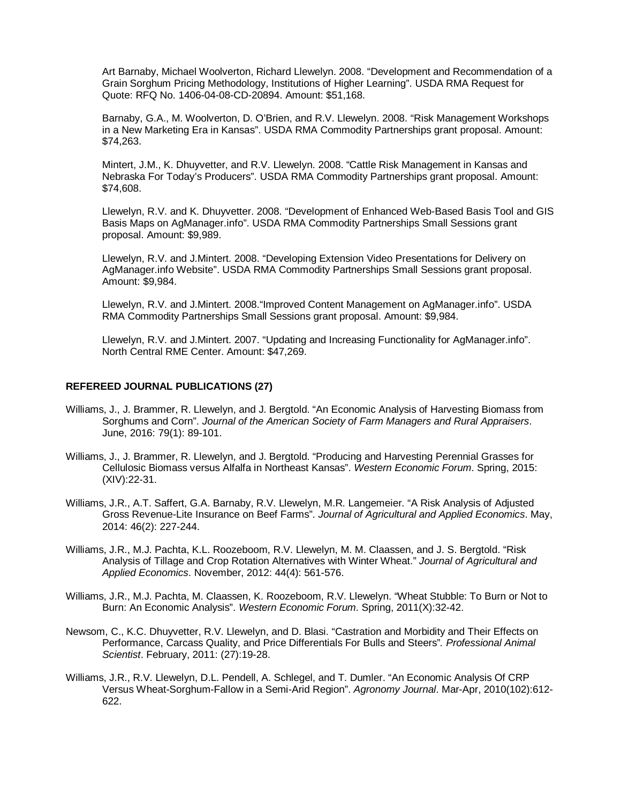Art Barnaby, Michael Woolverton, Richard Llewelyn. 2008. "Development and Recommendation of a Grain Sorghum Pricing Methodology, Institutions of Higher Learning". USDA RMA Request for Quote: RFQ No. 1406-04-08-CD-20894. Amount: \$51,168.

Barnaby, G.A., M. Woolverton, D. O'Brien, and R.V. Llewelyn. 2008. "Risk Management Workshops in a New Marketing Era in Kansas". USDA RMA Commodity Partnerships grant proposal. Amount: \$74,263.

Mintert, J.M., K. Dhuyvetter, and R.V. Llewelyn. 2008. "Cattle Risk Management in Kansas and Nebraska For Today's Producers". USDA RMA Commodity Partnerships grant proposal. Amount: \$74,608.

Llewelyn, R.V. and K. Dhuyvetter. 2008. "Development of Enhanced Web-Based Basis Tool and GIS Basis Maps on AgManager.info". USDA RMA Commodity Partnerships Small Sessions grant proposal. Amount: \$9,989.

Llewelyn, R.V. and J.Mintert. 2008. "Developing Extension Video Presentations for Delivery on AgManager.info Website". USDA RMA Commodity Partnerships Small Sessions grant proposal. Amount: \$9,984.

Llewelyn, R.V. and J.Mintert. 2008."Improved Content Management on AgManager.info". USDA RMA Commodity Partnerships Small Sessions grant proposal. Amount: \$9,984.

Llewelyn, R.V. and J.Mintert. 2007. "Updating and Increasing Functionality for AgManager.info". North Central RME Center. Amount: \$47,269.

#### **REFEREED JOURNAL PUBLICATIONS (27)**

- Williams, J., J. Brammer, R. Llewelyn, and J. Bergtold. "An Economic Analysis of Harvesting Biomass from Sorghums and Corn". *Journal of the American Society of Farm Managers and Rural Appraisers*. June, 2016: 79(1): 89-101.
- Williams, J., J. Brammer, R. Llewelyn, and J. Bergtold. "Producing and Harvesting Perennial Grasses for Cellulosic Biomass versus Alfalfa in Northeast Kansas". *Western Economic Forum*. Spring, 2015: (XIV):22-31.
- Williams, J.R., A.T. Saffert, G.A. Barnaby, R.V. Llewelyn, M.R. Langemeier. "A Risk Analysis of Adjusted Gross Revenue-Lite Insurance on Beef Farms". *Journal of Agricultural and Applied Economics*. May, 2014: 46(2): 227-244.
- Williams, J.R., M.J. Pachta, K.L. Roozeboom, R.V. Llewelyn, M. M. Claassen, and J. S. Bergtold. "Risk Analysis of Tillage and Crop Rotation Alternatives with Winter Wheat." *Journal of Agricultural and Applied Economics*. November, 2012: 44(4): 561-576.
- Williams, J.R., M.J. Pachta, M. Claassen, K. Roozeboom, R.V. Llewelyn. "Wheat Stubble: To Burn or Not to Burn: An Economic Analysis". *Western Economic Forum*. Spring, 2011(X):32-42.
- Newsom, C., K.C. Dhuyvetter, R.V. Llewelyn, and D. Blasi. "Castration and Morbidity and Their Effects on Performance, Carcass Quality, and Price Differentials For Bulls and Steers"*. Professional Animal Scientist*. February, 2011: (27):19-28.
- Williams, J.R., R.V. Llewelyn, D.L. Pendell, A. Schlegel, and T. Dumler. "An Economic Analysis Of CRP Versus Wheat-Sorghum-Fallow in a Semi-Arid Region". *Agronomy Journal*. Mar-Apr, 2010(102):612- 622.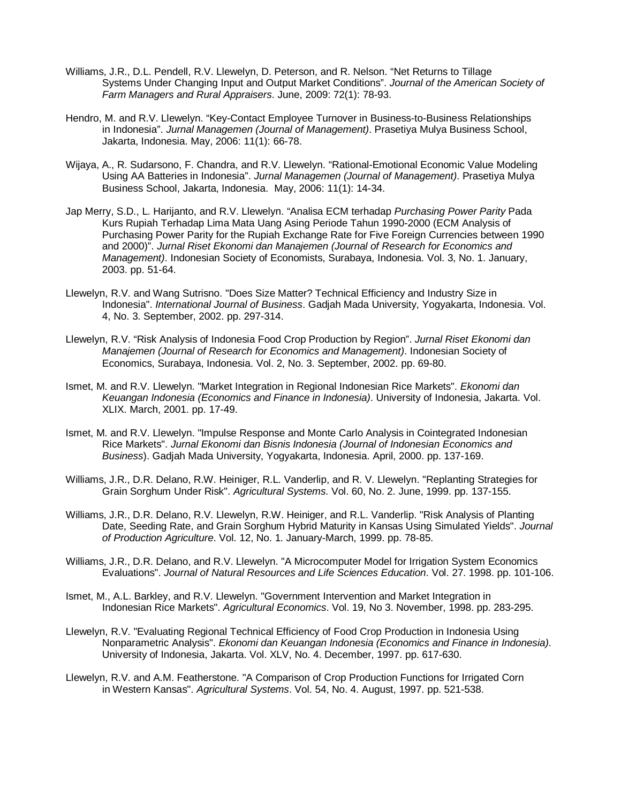- Williams, J.R., D.L. Pendell, R.V. Llewelyn, D. Peterson, and R. Nelson. "Net Returns to Tillage Systems Under Changing Input and Output Market Conditions". *Journal of the American Society of Farm Managers and Rural Appraisers*. June, 2009: 72(1): 78-93.
- Hendro, M. and R.V. Llewelyn. "Key-Contact Employee Turnover in Business-to-Business Relationships in Indonesia". *Jurnal Managemen (Journal of Management)*. Prasetiya Mulya Business School, Jakarta, Indonesia. May, 2006: 11(1): 66-78.
- Wijaya, A., R. Sudarsono, F. Chandra, and R.V. Llewelyn. "Rational-Emotional Economic Value Modeling Using AA Batteries in Indonesia". *Jurnal Managemen (Journal of Management)*. Prasetiya Mulya Business School, Jakarta, Indonesia. May, 2006: 11(1): 14-34.
- Jap Merry, S.D., L. Harijanto, and R.V. Llewelyn. "Analisa ECM terhadap *Purchasing Power Parity* Pada Kurs Rupiah Terhadap Lima Mata Uang Asing Periode Tahun 1990-2000 (ECM Analysis of Purchasing Power Parity for the Rupiah Exchange Rate for Five Foreign Currencies between 1990 and 2000)". *Jurnal Riset Ekonomi dan Manajemen (Journal of Research for Economics and Management)*. Indonesian Society of Economists, Surabaya, Indonesia. Vol. 3, No. 1. January, 2003. pp. 51-64.
- Llewelyn, R.V. and Wang Sutrisno. "Does Size Matter? Technical Efficiency and Industry Size in Indonesia". *International Journal of Business*. Gadjah Mada University, Yogyakarta, Indonesia. Vol. 4, No. 3. September, 2002. pp. 297-314.
- Llewelyn, R.V. "Risk Analysis of Indonesia Food Crop Production by Region". *Jurnal Riset Ekonomi dan Manajemen (Journal of Research for Economics and Management)*. Indonesian Society of Economics, Surabaya, Indonesia. Vol. 2, No. 3. September, 2002. pp. 69-80.
- Ismet, M. and R.V. Llewelyn. "Market Integration in Regional Indonesian Rice Markets". *Ekonomi dan Keuangan Indonesia (Economics and Finance in Indonesia)*. University of Indonesia, Jakarta. Vol. XLIX. March, 2001. pp. 17-49.
- Ismet, M. and R.V. Llewelyn. "Impulse Response and Monte Carlo Analysis in Cointegrated Indonesian Rice Markets". *Jurnal Ekonomi dan Bisnis Indonesia (Journal of Indonesian Economics and Business*). Gadjah Mada University, Yogyakarta, Indonesia. April, 2000. pp. 137-169.
- Williams, J.R., D.R. Delano, R.W. Heiniger, R.L. Vanderlip, and R. V. Llewelyn. "Replanting Strategies for Grain Sorghum Under Risk". *Agricultural Systems*. Vol. 60, No. 2. June, 1999. pp. 137-155.
- Williams, J.R., D.R. Delano, R.V. Llewelyn, R.W. Heiniger, and R.L. Vanderlip. "Risk Analysis of Planting Date, Seeding Rate, and Grain Sorghum Hybrid Maturity in Kansas Using Simulated Yields". *Journal of Production Agriculture*. Vol. 12, No. 1. January-March, 1999. pp. 78-85.
- Williams, J.R., D.R. Delano, and R.V. Llewelyn. "A Microcomputer Model for Irrigation System Economics Evaluations". *Journal of Natural Resources and Life Sciences Education*. Vol. 27. 1998. pp. 101-106.
- Ismet, M., A.L. Barkley, and R.V. Llewelyn. "Government Intervention and Market Integration in Indonesian Rice Markets". *Agricultural Economics*. Vol. 19, No 3. November, 1998. pp. 283-295.
- Llewelyn, R.V. "Evaluating Regional Technical Efficiency of Food Crop Production in Indonesia Using Nonparametric Analysis". *Ekonomi dan Keuangan Indonesia (Economics and Finance in Indonesia)*. University of Indonesia, Jakarta. Vol. XLV, No. 4. December, 1997. pp. 617-630.
- Llewelyn, R.V. and A.M. Featherstone. "A Comparison of Crop Production Functions for Irrigated Corn in Western Kansas". *Agricultural Systems*. Vol. 54, No. 4. August, 1997. pp. 521-538.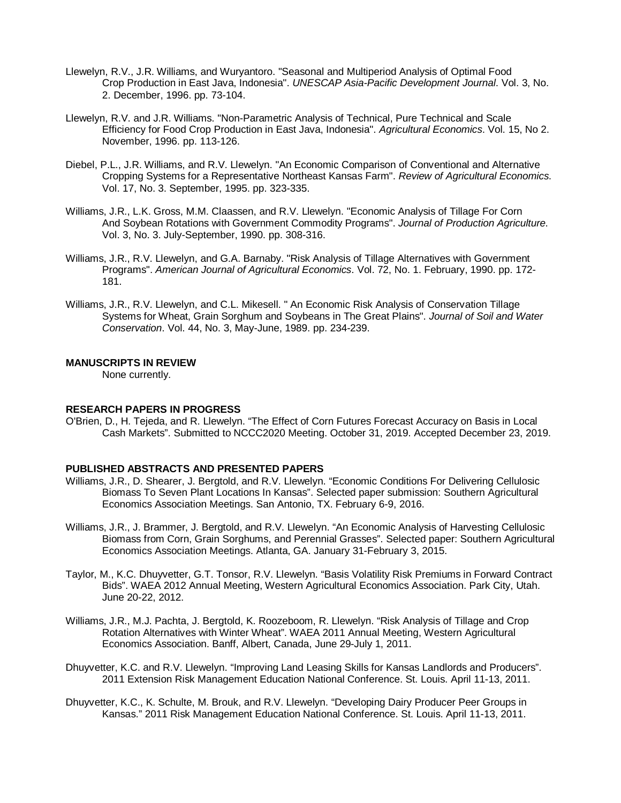- Llewelyn, R.V., J.R. Williams, and Wuryantoro. "Seasonal and Multiperiod Analysis of Optimal Food Crop Production in East Java, Indonesia". *UNESCAP Asia-Pacific Development Journal*. Vol. 3, No. 2. December, 1996. pp. 73-104.
- Llewelyn, R.V. and J.R. Williams. "Non-Parametric Analysis of Technical, Pure Technical and Scale Efficiency for Food Crop Production in East Java, Indonesia". *Agricultural Economics*. Vol. 15, No 2. November, 1996. pp. 113-126.
- Diebel, P.L., J.R. Williams, and R.V. Llewelyn. "An Economic Comparison of Conventional and Alternative Cropping Systems for a Representative Northeast Kansas Farm". *Review of Agricultural Economics*. Vol. 17, No. 3. September, 1995. pp. 323-335.
- Williams, J.R., L.K. Gross, M.M. Claassen, and R.V. Llewelyn. "Economic Analysis of Tillage For Corn And Soybean Rotations with Government Commodity Programs". *Journal of Production Agriculture*. Vol. 3, No. 3. July-September, 1990. pp. 308-316.
- Williams, J.R., R.V. Llewelyn, and G.A. Barnaby. "Risk Analysis of Tillage Alternatives with Government Programs". *American Journal of Agricultural Economics*. Vol. 72, No. 1. February, 1990. pp. 172- 181.
- Williams, J.R., R.V. Llewelyn, and C.L. Mikesell. " An Economic Risk Analysis of Conservation Tillage Systems for Wheat, Grain Sorghum and Soybeans in The Great Plains". *Journal of Soil and Water Conservation*. Vol. 44, No. 3, May-June, 1989. pp. 234-239.

#### **MANUSCRIPTS IN REVIEW**

None currently.

#### **RESEARCH PAPERS IN PROGRESS**

O'Brien, D., H. Tejeda, and R. Llewelyn. "The Effect of Corn Futures Forecast Accuracy on Basis in Local Cash Markets". Submitted to NCCC2020 Meeting. October 31, 2019. Accepted December 23, 2019.

#### **PUBLISHED ABSTRACTS AND PRESENTED PAPERS**

- Williams, J.R., D. Shearer, J. Bergtold, and R.V. Llewelyn. "Economic Conditions For Delivering Cellulosic Biomass To Seven Plant Locations In Kansas". Selected paper submission: Southern Agricultural Economics Association Meetings. San Antonio, TX. February 6-9, 2016.
- Williams, J.R., J. Brammer, J. Bergtold, and R.V. Llewelyn. "An Economic Analysis of Harvesting Cellulosic Biomass from Corn, Grain Sorghums, and Perennial Grasses". Selected paper: Southern Agricultural Economics Association Meetings. Atlanta, GA. January 31-February 3, 2015.
- Taylor, M., K.C. Dhuyvetter, G.T. Tonsor, R.V. Llewelyn. "Basis Volatility Risk Premiums in Forward Contract Bids". WAEA 2012 Annual Meeting, Western Agricultural Economics Association. Park City, Utah. June 20-22, 2012.
- Williams, J.R., M.J. Pachta, J. Bergtold, K. Roozeboom, R. Llewelyn. "Risk Analysis of Tillage and Crop Rotation Alternatives with Winter Wheat". WAEA 2011 Annual Meeting, Western Agricultural Economics Association. Banff, Albert, Canada, June 29-July 1, 2011.
- Dhuyvetter, K.C. and R.V. Llewelyn. "Improving Land Leasing Skills for Kansas Landlords and Producers". 2011 Extension Risk Management Education National Conference. St. Louis. April 11-13, 2011.
- Dhuyvetter, K.C., K. Schulte, M. Brouk, and R.V. Llewelyn. "Developing Dairy Producer Peer Groups in Kansas." 2011 Risk Management Education National Conference. St. Louis. April 11-13, 2011.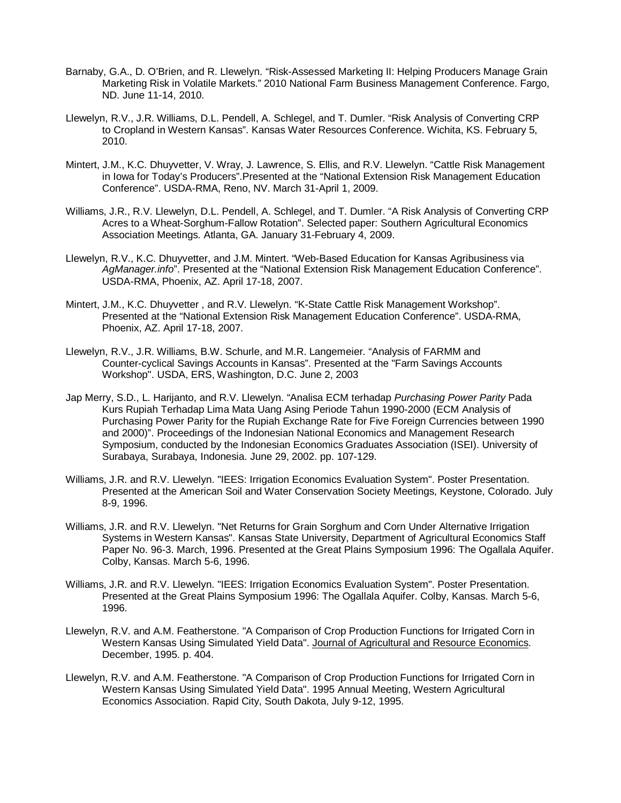- Barnaby, G.A., D. O'Brien, and R. Llewelyn. "Risk-Assessed Marketing II: Helping Producers Manage Grain Marketing Risk in Volatile Markets." 2010 National Farm Business Management Conference. Fargo, ND. June 11-14, 2010.
- Llewelyn, R.V., J.R. Williams, D.L. Pendell, A. Schlegel, and T. Dumler. "Risk Analysis of Converting CRP to Cropland in Western Kansas". Kansas Water Resources Conference. Wichita, KS. February 5, 2010.
- Mintert, J.M., K.C. Dhuyvetter, V. Wray, J. Lawrence, S. Ellis, and R.V. Llewelyn. "Cattle Risk Management in Iowa for Today's Producers".Presented at the "National Extension Risk Management Education Conference". USDA-RMA, Reno, NV. March 31-April 1, 2009.
- Williams, J.R., R.V. Llewelyn, D.L. Pendell, A. Schlegel, and T. Dumler. "A Risk Analysis of Converting CRP Acres to a Wheat-Sorghum-Fallow Rotation". Selected paper: Southern Agricultural Economics Association Meetings. Atlanta, GA. January 31-February 4, 2009.
- Llewelyn, R.V., K.C. Dhuyvetter, and J.M. Mintert. "Web-Based Education for Kansas Agribusiness via *AgManager.info*". Presented at the "National Extension Risk Management Education Conference". USDA-RMA, Phoenix, AZ. April 17-18, 2007.
- Mintert, J.M., K.C. Dhuyvetter , and R.V. Llewelyn. "K-State Cattle Risk Management Workshop". Presented at the "National Extension Risk Management Education Conference". USDA-RMA, Phoenix, AZ. April 17-18, 2007.
- Llewelyn, R.V., J.R. Williams, B.W. Schurle, and M.R. Langemeier. "Analysis of FARMM and Counter-cyclical Savings Accounts in Kansas". Presented at the "Farm Savings Accounts Workshop". USDA, ERS, Washington, D.C. June 2, 2003
- Jap Merry, S.D., L. Harijanto, and R.V. Llewelyn. "Analisa ECM terhadap *Purchasing Power Parity* Pada Kurs Rupiah Terhadap Lima Mata Uang Asing Periode Tahun 1990-2000 (ECM Analysis of Purchasing Power Parity for the Rupiah Exchange Rate for Five Foreign Currencies between 1990 and 2000)". Proceedings of the Indonesian National Economics and Management Research Symposium, conducted by the Indonesian Economics Graduates Association (ISEI). University of Surabaya, Surabaya, Indonesia. June 29, 2002. pp. 107-129.
- Williams, J.R. and R.V. Llewelyn. "IEES: Irrigation Economics Evaluation System". Poster Presentation. Presented at the American Soil and Water Conservation Society Meetings, Keystone, Colorado. July 8-9, 1996.
- Williams, J.R. and R.V. Llewelyn. "Net Returns for Grain Sorghum and Corn Under Alternative Irrigation Systems in Western Kansas". Kansas State University, Department of Agricultural Economics Staff Paper No. 96-3. March, 1996. Presented at the Great Plains Symposium 1996: The Ogallala Aquifer. Colby, Kansas. March 5-6, 1996.
- Williams, J.R. and R.V. Llewelyn. "IEES: Irrigation Economics Evaluation System". Poster Presentation. Presented at the Great Plains Symposium 1996: The Ogallala Aquifer. Colby, Kansas. March 5-6, 1996.
- Llewelyn, R.V. and A.M. Featherstone. "A Comparison of Crop Production Functions for Irrigated Corn in Western Kansas Using Simulated Yield Data". Journal of Agricultural and Resource Economics. December, 1995. p. 404.
- Llewelyn, R.V. and A.M. Featherstone. "A Comparison of Crop Production Functions for Irrigated Corn in Western Kansas Using Simulated Yield Data". 1995 Annual Meeting, Western Agricultural Economics Association. Rapid City, South Dakota, July 9-12, 1995.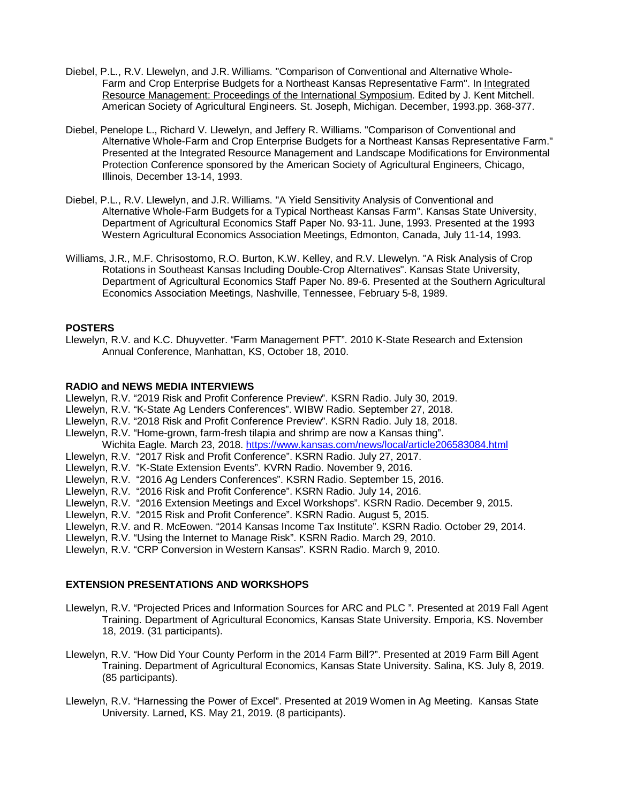- Diebel, P.L., R.V. Llewelyn, and J.R. Williams. "Comparison of Conventional and Alternative Whole-Farm and Crop Enterprise Budgets for a Northeast Kansas Representative Farm". In Integrated Resource Management: Proceedings of the International Symposium. Edited by J. Kent Mitchell. American Society of Agricultural Engineers. St. Joseph, Michigan. December, 1993.pp. 368-377.
- Diebel, Penelope L., Richard V. Llewelyn, and Jeffery R. Williams. "Comparison of Conventional and Alternative Whole-Farm and Crop Enterprise Budgets for a Northeast Kansas Representative Farm." Presented at the Integrated Resource Management and Landscape Modifications for Environmental Protection Conference sponsored by the American Society of Agricultural Engineers, Chicago, Illinois, December 13-14, 1993.
- Diebel, P.L., R.V. Llewelyn, and J.R. Williams. "A Yield Sensitivity Analysis of Conventional and Alternative Whole-Farm Budgets for a Typical Northeast Kansas Farm". Kansas State University, Department of Agricultural Economics Staff Paper No. 93-11. June, 1993. Presented at the 1993 Western Agricultural Economics Association Meetings, Edmonton, Canada, July 11-14, 1993.
- Williams, J.R., M.F. Chrisostomo, R.O. Burton, K.W. Kelley, and R.V. Llewelyn. "A Risk Analysis of Crop Rotations in Southeast Kansas Including Double-Crop Alternatives". Kansas State University, Department of Agricultural Economics Staff Paper No. 89-6. Presented at the Southern Agricultural Economics Association Meetings, Nashville, Tennessee, February 5-8, 1989.

#### **POSTERS**

Llewelyn, R.V. and K.C. Dhuyvetter. "Farm Management PFT". 2010 K-State Research and Extension Annual Conference, Manhattan, KS, October 18, 2010.

#### **RADIO and NEWS MEDIA INTERVIEWS**

- Llewelyn, R.V. "2019 Risk and Profit Conference Preview". KSRN Radio. July 30, 2019.
- Llewelyn, R.V. "K-State Ag Lenders Conferences". WIBW Radio. September 27, 2018.
- Llewelyn, R.V. "2018 Risk and Profit Conference Preview". KSRN Radio. July 18, 2018.
- Llewelyn, R.V. "Home-grown, farm-fresh tilapia and shrimp are now a Kansas thing". Wichita Eagle. March 23, 2018.<https://www.kansas.com/news/local/article206583084.html>
- Llewelyn, R.V. "2017 Risk and Profit Conference". KSRN Radio. July 27, 2017.
- Llewelyn, R.V. "K-State Extension Events". KVRN Radio. November 9, 2016.
- Llewelyn, R.V. "2016 Ag Lenders Conferences". KSRN Radio. September 15, 2016.
- Llewelyn, R.V. "2016 Risk and Profit Conference". KSRN Radio. July 14, 2016.
- Llewelyn, R.V. "2016 Extension Meetings and Excel Workshops". KSRN Radio. December 9, 2015.
- Llewelyn, R.V. "2015 Risk and Profit Conference". KSRN Radio. August 5, 2015.
- Llewelyn, R.V. and R. McEowen. "2014 Kansas Income Tax Institute". KSRN Radio. October 29, 2014.
- Llewelyn, R.V. "Using the Internet to Manage Risk". KSRN Radio. March 29, 2010.

Llewelyn, R.V. "CRP Conversion in Western Kansas". KSRN Radio. March 9, 2010.

#### **EXTENSION PRESENTATIONS AND WORKSHOPS**

- Llewelyn, R.V. "Projected Prices and Information Sources for ARC and PLC ". Presented at 2019 Fall Agent Training. Department of Agricultural Economics, Kansas State University. Emporia, KS. November 18, 2019. (31 participants).
- Llewelyn, R.V. "How Did Your County Perform in the 2014 Farm Bill?". Presented at 2019 Farm Bill Agent Training. Department of Agricultural Economics, Kansas State University. Salina, KS. July 8, 2019. (85 participants).
- Llewelyn, R.V. "Harnessing the Power of Excel". Presented at 2019 Women in Ag Meeting. Kansas State University. Larned, KS. May 21, 2019. (8 participants).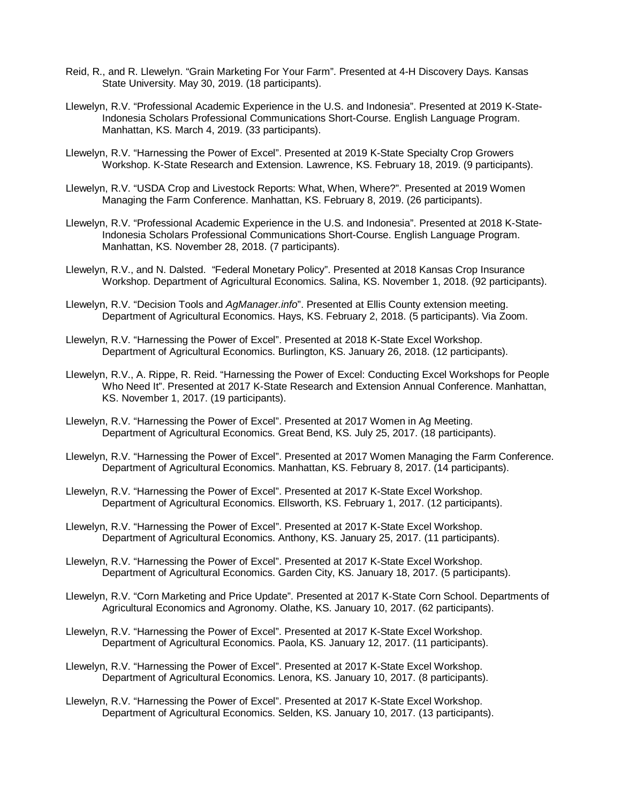- Reid, R., and R. Llewelyn. "Grain Marketing For Your Farm". Presented at 4-H Discovery Days. Kansas State University. May 30, 2019. (18 participants).
- Llewelyn, R.V. "Professional Academic Experience in the U.S. and Indonesia". Presented at 2019 K-State-Indonesia Scholars Professional Communications Short-Course. English Language Program. Manhattan, KS. March 4, 2019. (33 participants).
- Llewelyn, R.V. "Harnessing the Power of Excel". Presented at 2019 K-State Specialty Crop Growers Workshop. K-State Research and Extension. Lawrence, KS. February 18, 2019. (9 participants).
- Llewelyn, R.V. "USDA Crop and Livestock Reports: What, When, Where?". Presented at 2019 Women Managing the Farm Conference. Manhattan, KS. February 8, 2019. (26 participants).
- Llewelyn, R.V. "Professional Academic Experience in the U.S. and Indonesia". Presented at 2018 K-State-Indonesia Scholars Professional Communications Short-Course. English Language Program. Manhattan, KS. November 28, 2018. (7 participants).
- Llewelyn, R.V., and N. Dalsted. "Federal Monetary Policy". Presented at 2018 Kansas Crop Insurance Workshop. Department of Agricultural Economics. Salina, KS. November 1, 2018. (92 participants).
- Llewelyn, R.V. "Decision Tools and *AgManager.info*". Presented at Ellis County extension meeting. Department of Agricultural Economics. Hays, KS. February 2, 2018. (5 participants). Via Zoom.
- Llewelyn, R.V. "Harnessing the Power of Excel". Presented at 2018 K-State Excel Workshop. Department of Agricultural Economics. Burlington, KS. January 26, 2018. (12 participants).
- Llewelyn, R.V., A. Rippe, R. Reid. "Harnessing the Power of Excel: Conducting Excel Workshops for People Who Need It". Presented at 2017 K-State Research and Extension Annual Conference. Manhattan, KS. November 1, 2017. (19 participants).
- Llewelyn, R.V. "Harnessing the Power of Excel". Presented at 2017 Women in Ag Meeting. Department of Agricultural Economics. Great Bend, KS. July 25, 2017. (18 participants).
- Llewelyn, R.V. "Harnessing the Power of Excel". Presented at 2017 Women Managing the Farm Conference. Department of Agricultural Economics. Manhattan, KS. February 8, 2017. (14 participants).
- Llewelyn, R.V. "Harnessing the Power of Excel". Presented at 2017 K-State Excel Workshop. Department of Agricultural Economics. Ellsworth, KS. February 1, 2017. (12 participants).
- Llewelyn, R.V. "Harnessing the Power of Excel". Presented at 2017 K-State Excel Workshop. Department of Agricultural Economics. Anthony, KS. January 25, 2017. (11 participants).
- Llewelyn, R.V. "Harnessing the Power of Excel". Presented at 2017 K-State Excel Workshop. Department of Agricultural Economics. Garden City, KS. January 18, 2017. (5 participants).
- Llewelyn, R.V. "Corn Marketing and Price Update". Presented at 2017 K-State Corn School. Departments of Agricultural Economics and Agronomy. Olathe, KS. January 10, 2017. (62 participants).
- Llewelyn, R.V. "Harnessing the Power of Excel". Presented at 2017 K-State Excel Workshop. Department of Agricultural Economics. Paola, KS. January 12, 2017. (11 participants).
- Llewelyn, R.V. "Harnessing the Power of Excel". Presented at 2017 K-State Excel Workshop. Department of Agricultural Economics. Lenora, KS. January 10, 2017. (8 participants).
- Llewelyn, R.V. "Harnessing the Power of Excel". Presented at 2017 K-State Excel Workshop. Department of Agricultural Economics. Selden, KS. January 10, 2017. (13 participants).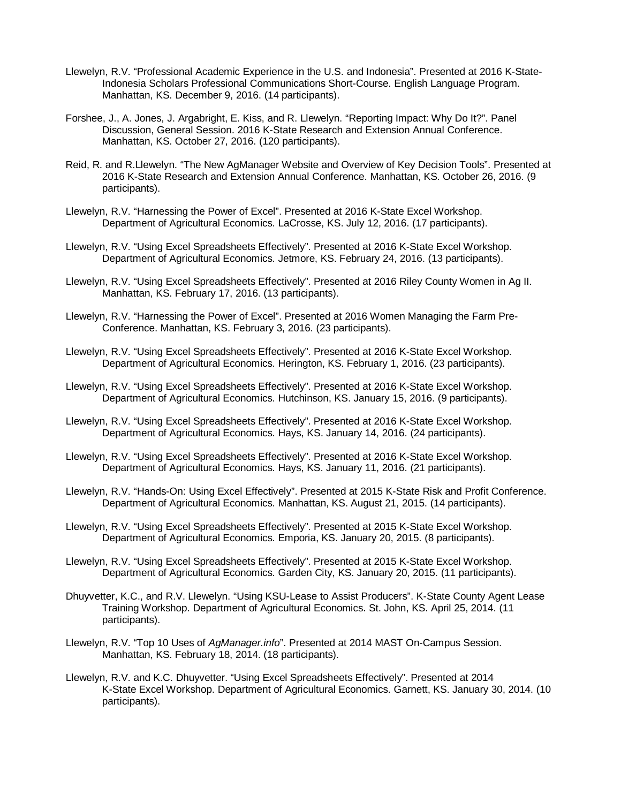- Llewelyn, R.V. "Professional Academic Experience in the U.S. and Indonesia". Presented at 2016 K-State-Indonesia Scholars Professional Communications Short-Course. English Language Program. Manhattan, KS. December 9, 2016. (14 participants).
- Forshee, J., A. Jones, J. Argabright, E. Kiss, and R. Llewelyn. "Reporting Impact: Why Do It?". Panel Discussion, General Session. 2016 K-State Research and Extension Annual Conference. Manhattan, KS. October 27, 2016. (120 participants).
- Reid, R. and R.Llewelyn. "The New AgManager Website and Overview of Key Decision Tools". Presented at 2016 K-State Research and Extension Annual Conference. Manhattan, KS. October 26, 2016. (9 participants).
- Llewelyn, R.V. "Harnessing the Power of Excel". Presented at 2016 K-State Excel Workshop. Department of Agricultural Economics. LaCrosse, KS. July 12, 2016. (17 participants).
- Llewelyn, R.V. "Using Excel Spreadsheets Effectively". Presented at 2016 K-State Excel Workshop. Department of Agricultural Economics. Jetmore, KS. February 24, 2016. (13 participants).
- Llewelyn, R.V. "Using Excel Spreadsheets Effectively". Presented at 2016 Riley County Women in Ag II. Manhattan, KS. February 17, 2016. (13 participants).
- Llewelyn, R.V. "Harnessing the Power of Excel". Presented at 2016 Women Managing the Farm Pre-Conference. Manhattan, KS. February 3, 2016. (23 participants).
- Llewelyn, R.V. "Using Excel Spreadsheets Effectively". Presented at 2016 K-State Excel Workshop. Department of Agricultural Economics. Herington, KS. February 1, 2016. (23 participants).
- Llewelyn, R.V. "Using Excel Spreadsheets Effectively". Presented at 2016 K-State Excel Workshop. Department of Agricultural Economics. Hutchinson, KS. January 15, 2016. (9 participants).
- Llewelyn, R.V. "Using Excel Spreadsheets Effectively". Presented at 2016 K-State Excel Workshop. Department of Agricultural Economics. Hays, KS. January 14, 2016. (24 participants).
- Llewelyn, R.V. "Using Excel Spreadsheets Effectively". Presented at 2016 K-State Excel Workshop. Department of Agricultural Economics. Hays, KS. January 11, 2016. (21 participants).
- Llewelyn, R.V. "Hands-On: Using Excel Effectively". Presented at 2015 K-State Risk and Profit Conference. Department of Agricultural Economics. Manhattan, KS. August 21, 2015. (14 participants).
- Llewelyn, R.V. "Using Excel Spreadsheets Effectively". Presented at 2015 K-State Excel Workshop. Department of Agricultural Economics. Emporia, KS. January 20, 2015. (8 participants).
- Llewelyn, R.V. "Using Excel Spreadsheets Effectively". Presented at 2015 K-State Excel Workshop. Department of Agricultural Economics. Garden City, KS. January 20, 2015. (11 participants).
- Dhuyvetter, K.C., and R.V. Llewelyn. "Using KSU-Lease to Assist Producers". K-State County Agent Lease Training Workshop. Department of Agricultural Economics. St. John, KS. April 25, 2014. (11 participants).
- Llewelyn, R.V. "Top 10 Uses of *AgManager.info*". Presented at 2014 MAST On-Campus Session. Manhattan, KS. February 18, 2014. (18 participants).
- Llewelyn, R.V. and K.C. Dhuyvetter. "Using Excel Spreadsheets Effectively". Presented at 2014 K-State Excel Workshop. Department of Agricultural Economics. Garnett, KS. January 30, 2014. (10 participants).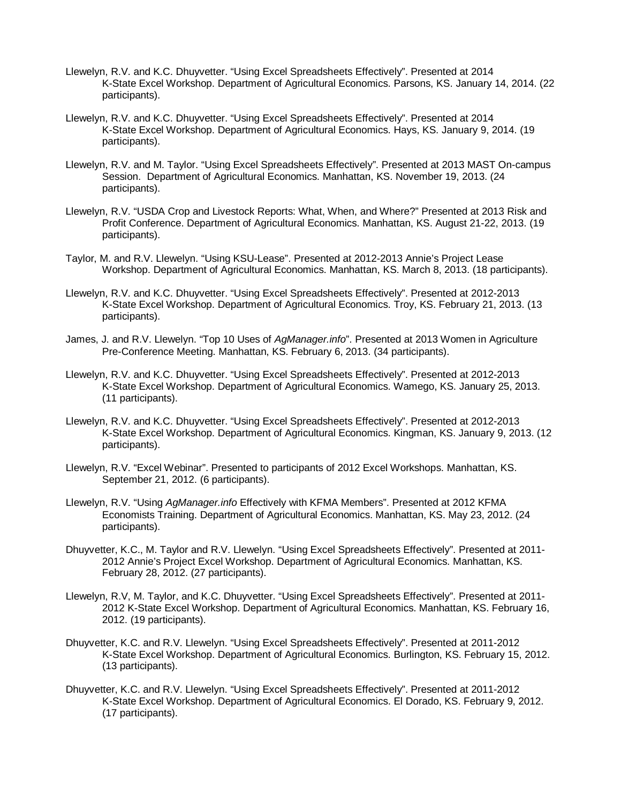- Llewelyn, R.V. and K.C. Dhuyvetter. "Using Excel Spreadsheets Effectively". Presented at 2014 K-State Excel Workshop. Department of Agricultural Economics. Parsons, KS. January 14, 2014. (22 participants).
- Llewelyn, R.V. and K.C. Dhuyvetter. "Using Excel Spreadsheets Effectively". Presented at 2014 K-State Excel Workshop. Department of Agricultural Economics. Hays, KS. January 9, 2014. (19 participants).
- Llewelyn, R.V. and M. Taylor. "Using Excel Spreadsheets Effectively". Presented at 2013 MAST On-campus Session. Department of Agricultural Economics. Manhattan, KS. November 19, 2013. (24 participants).
- Llewelyn, R.V. "USDA Crop and Livestock Reports: What, When, and Where?" Presented at 2013 Risk and Profit Conference. Department of Agricultural Economics. Manhattan, KS. August 21-22, 2013. (19 participants).
- Taylor, M. and R.V. Llewelyn. "Using KSU-Lease". Presented at 2012-2013 Annie's Project Lease Workshop. Department of Agricultural Economics. Manhattan, KS. March 8, 2013. (18 participants).
- Llewelyn, R.V. and K.C. Dhuyvetter. "Using Excel Spreadsheets Effectively". Presented at 2012-2013 K-State Excel Workshop. Department of Agricultural Economics. Troy, KS. February 21, 2013. (13 participants).
- James, J. and R.V. Llewelyn. "Top 10 Uses of *AgManager.info*". Presented at 2013 Women in Agriculture Pre-Conference Meeting. Manhattan, KS. February 6, 2013. (34 participants).
- Llewelyn, R.V. and K.C. Dhuyvetter. "Using Excel Spreadsheets Effectively". Presented at 2012-2013 K-State Excel Workshop. Department of Agricultural Economics. Wamego, KS. January 25, 2013. (11 participants).
- Llewelyn, R.V. and K.C. Dhuyvetter. "Using Excel Spreadsheets Effectively". Presented at 2012-2013 K-State Excel Workshop. Department of Agricultural Economics. Kingman, KS. January 9, 2013. (12 participants).
- Llewelyn, R.V. "Excel Webinar". Presented to participants of 2012 Excel Workshops. Manhattan, KS. September 21, 2012. (6 participants).
- Llewelyn, R.V. "Using *AgManager.info* Effectively with KFMA Members". Presented at 2012 KFMA Economists Training. Department of Agricultural Economics. Manhattan, KS. May 23, 2012. (24 participants).
- Dhuyvetter, K.C., M. Taylor and R.V. Llewelyn. "Using Excel Spreadsheets Effectively". Presented at 2011- 2012 Annie's Project Excel Workshop. Department of Agricultural Economics. Manhattan, KS. February 28, 2012. (27 participants).
- Llewelyn, R.V, M. Taylor, and K.C. Dhuyvetter. "Using Excel Spreadsheets Effectively". Presented at 2011- 2012 K-State Excel Workshop. Department of Agricultural Economics. Manhattan, KS. February 16, 2012. (19 participants).
- Dhuyvetter, K.C. and R.V. Llewelyn. "Using Excel Spreadsheets Effectively". Presented at 2011-2012 K-State Excel Workshop. Department of Agricultural Economics. Burlington, KS. February 15, 2012. (13 participants).
- Dhuyvetter, K.C. and R.V. Llewelyn. "Using Excel Spreadsheets Effectively". Presented at 2011-2012 K-State Excel Workshop. Department of Agricultural Economics. El Dorado, KS. February 9, 2012. (17 participants).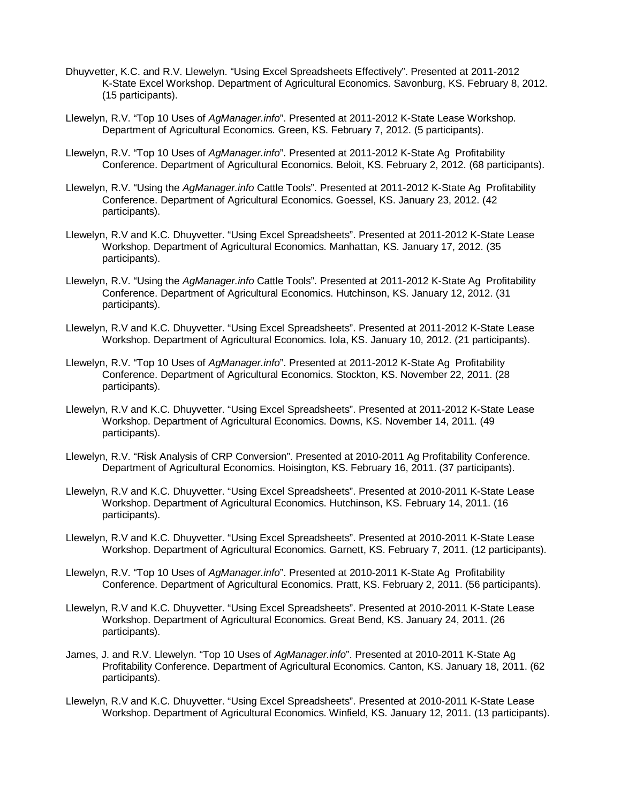- Dhuyvetter, K.C. and R.V. Llewelyn. "Using Excel Spreadsheets Effectively". Presented at 2011-2012 K-State Excel Workshop. Department of Agricultural Economics. Savonburg, KS. February 8, 2012. (15 participants).
- Llewelyn, R.V. "Top 10 Uses of *AgManager.info*". Presented at 2011-2012 K-State Lease Workshop. Department of Agricultural Economics. Green, KS. February 7, 2012. (5 participants).
- Llewelyn, R.V. "Top 10 Uses of *AgManager.info*". Presented at 2011-2012 K-State Ag Profitability Conference. Department of Agricultural Economics. Beloit, KS. February 2, 2012. (68 participants).
- Llewelyn, R.V. "Using the *AgManager.info* Cattle Tools". Presented at 2011-2012 K-State Ag Profitability Conference. Department of Agricultural Economics. Goessel, KS. January 23, 2012. (42 participants).
- Llewelyn, R.V and K.C. Dhuyvetter. "Using Excel Spreadsheets". Presented at 2011-2012 K-State Lease Workshop. Department of Agricultural Economics. Manhattan, KS. January 17, 2012. (35 participants).
- Llewelyn, R.V. "Using the *AgManager.info* Cattle Tools". Presented at 2011-2012 K-State Ag Profitability Conference. Department of Agricultural Economics. Hutchinson, KS. January 12, 2012. (31 participants).
- Llewelyn, R.V and K.C. Dhuyvetter. "Using Excel Spreadsheets". Presented at 2011-2012 K-State Lease Workshop. Department of Agricultural Economics. Iola, KS. January 10, 2012. (21 participants).
- Llewelyn, R.V. "Top 10 Uses of *AgManager.info*". Presented at 2011-2012 K-State Ag Profitability Conference. Department of Agricultural Economics. Stockton, KS. November 22, 2011. (28 participants).
- Llewelyn, R.V and K.C. Dhuyvetter. "Using Excel Spreadsheets". Presented at 2011-2012 K-State Lease Workshop. Department of Agricultural Economics. Downs, KS. November 14, 2011. (49 participants).
- Llewelyn, R.V. "Risk Analysis of CRP Conversion". Presented at 2010-2011 Ag Profitability Conference. Department of Agricultural Economics. Hoisington, KS. February 16, 2011. (37 participants).
- Llewelyn, R.V and K.C. Dhuyvetter. "Using Excel Spreadsheets". Presented at 2010-2011 K-State Lease Workshop. Department of Agricultural Economics. Hutchinson, KS. February 14, 2011. (16 participants).
- Llewelyn, R.V and K.C. Dhuyvetter. "Using Excel Spreadsheets". Presented at 2010-2011 K-State Lease Workshop. Department of Agricultural Economics. Garnett, KS. February 7, 2011. (12 participants).
- Llewelyn, R.V. "Top 10 Uses of *AgManager.info*". Presented at 2010-2011 K-State Ag Profitability Conference. Department of Agricultural Economics. Pratt, KS. February 2, 2011. (56 participants).
- Llewelyn, R.V and K.C. Dhuyvetter. "Using Excel Spreadsheets". Presented at 2010-2011 K-State Lease Workshop. Department of Agricultural Economics. Great Bend, KS. January 24, 2011. (26 participants).
- James, J. and R.V. Llewelyn. "Top 10 Uses of *AgManager.info*". Presented at 2010-2011 K-State Ag Profitability Conference. Department of Agricultural Economics. Canton, KS. January 18, 2011. (62 participants).
- Llewelyn, R.V and K.C. Dhuyvetter. "Using Excel Spreadsheets". Presented at 2010-2011 K-State Lease Workshop. Department of Agricultural Economics. Winfield, KS. January 12, 2011. (13 participants).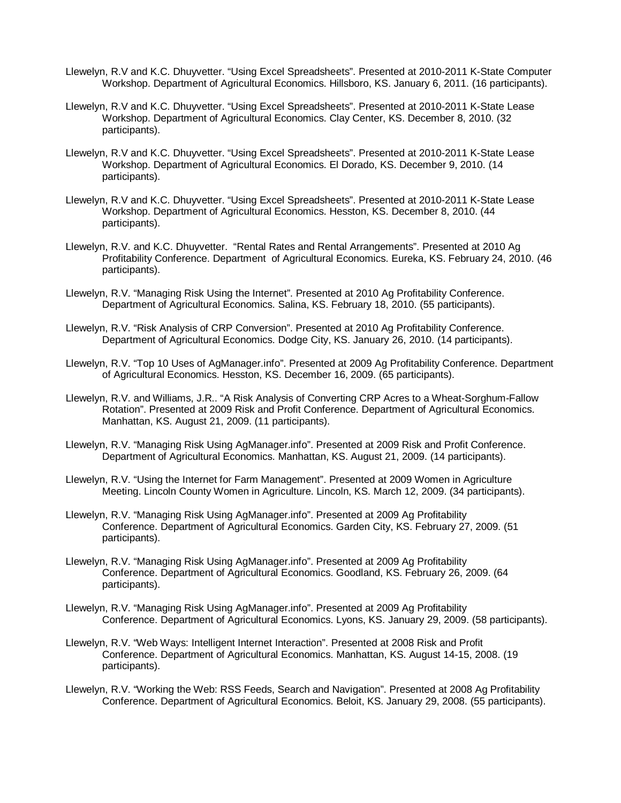- Llewelyn, R.V and K.C. Dhuyvetter. "Using Excel Spreadsheets". Presented at 2010-2011 K-State Computer Workshop. Department of Agricultural Economics. Hillsboro, KS. January 6, 2011. (16 participants).
- Llewelyn, R.V and K.C. Dhuyvetter. "Using Excel Spreadsheets". Presented at 2010-2011 K-State Lease Workshop. Department of Agricultural Economics. Clay Center, KS. December 8, 2010. (32 participants).
- Llewelyn, R.V and K.C. Dhuyvetter. "Using Excel Spreadsheets". Presented at 2010-2011 K-State Lease Workshop. Department of Agricultural Economics. El Dorado, KS. December 9, 2010. (14 participants).
- Llewelyn, R.V and K.C. Dhuyvetter. "Using Excel Spreadsheets". Presented at 2010-2011 K-State Lease Workshop. Department of Agricultural Economics. Hesston, KS. December 8, 2010. (44 participants).
- Llewelyn, R.V. and K.C. Dhuyvetter. "Rental Rates and Rental Arrangements". Presented at 2010 Ag Profitability Conference. Department of Agricultural Economics. Eureka, KS. February 24, 2010. (46 participants).
- Llewelyn, R.V. "Managing Risk Using the Internet". Presented at 2010 Ag Profitability Conference. Department of Agricultural Economics. Salina, KS. February 18, 2010. (55 participants).
- Llewelyn, R.V. "Risk Analysis of CRP Conversion". Presented at 2010 Ag Profitability Conference. Department of Agricultural Economics. Dodge City, KS. January 26, 2010. (14 participants).
- Llewelyn, R.V. "Top 10 Uses of AgManager.info". Presented at 2009 Ag Profitability Conference. Department of Agricultural Economics. Hesston, KS. December 16, 2009. (65 participants).
- Llewelyn, R.V. and Williams, J.R.. "A Risk Analysis of Converting CRP Acres to a Wheat-Sorghum-Fallow Rotation". Presented at 2009 Risk and Profit Conference. Department of Agricultural Economics. Manhattan, KS. August 21, 2009. (11 participants).
- Llewelyn, R.V. "Managing Risk Using AgManager.info". Presented at 2009 Risk and Profit Conference. Department of Agricultural Economics. Manhattan, KS. August 21, 2009. (14 participants).
- Llewelyn, R.V. "Using the Internet for Farm Management". Presented at 2009 Women in Agriculture Meeting. Lincoln County Women in Agriculture. Lincoln, KS. March 12, 2009. (34 participants).
- Llewelyn, R.V. "Managing Risk Using AgManager.info". Presented at 2009 Ag Profitability Conference. Department of Agricultural Economics. Garden City, KS. February 27, 2009. (51 participants).
- Llewelyn, R.V. "Managing Risk Using AgManager.info". Presented at 2009 Ag Profitability Conference. Department of Agricultural Economics. Goodland, KS. February 26, 2009. (64 participants).
- Llewelyn, R.V. "Managing Risk Using AgManager.info". Presented at 2009 Ag Profitability Conference. Department of Agricultural Economics. Lyons, KS. January 29, 2009. (58 participants).
- Llewelyn, R.V. "Web Ways: Intelligent Internet Interaction". Presented at 2008 Risk and Profit Conference. Department of Agricultural Economics. Manhattan, KS. August 14-15, 2008. (19 participants).
- Llewelyn, R.V. "Working the Web: RSS Feeds, Search and Navigation". Presented at 2008 Ag Profitability Conference. Department of Agricultural Economics. Beloit, KS. January 29, 2008. (55 participants).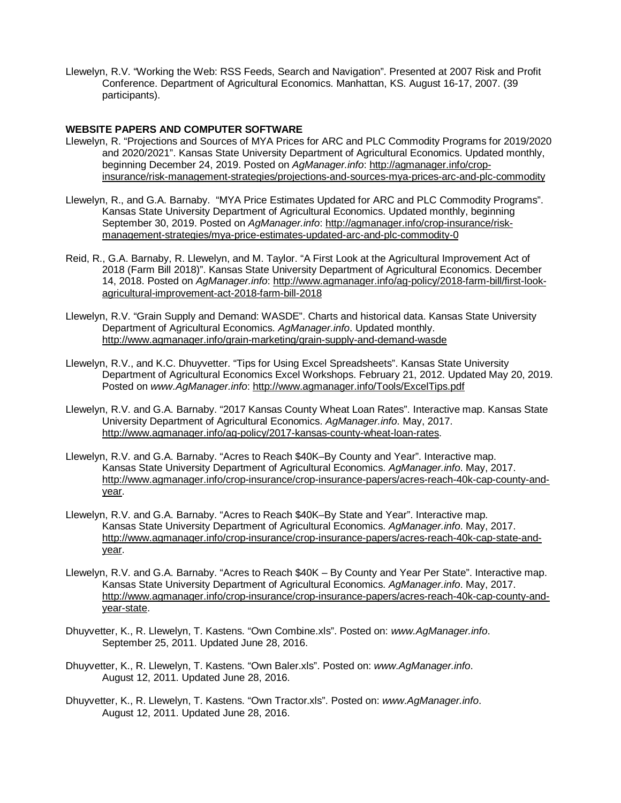Llewelyn, R.V. "Working the Web: RSS Feeds, Search and Navigation". Presented at 2007 Risk and Profit Conference. Department of Agricultural Economics. Manhattan, KS. August 16-17, 2007. (39 participants).

#### **WEBSITE PAPERS AND COMPUTER SOFTWARE**

- Llewelyn, R. "Projections and Sources of MYA Prices for ARC and PLC Commodity Programs for 2019/2020 and 2020/2021". Kansas State University Department of Agricultural Economics. Updated monthly, beginning December 24, 2019. Posted on *AgManager.info*: http://agmanager.info/cropinsurance/risk-management-strategies/projections-and-sources-mya-prices-arc-and-plc-commodity
- Llewelyn, R., and G.A. Barnaby. "MYA Price Estimates Updated for ARC and PLC Commodity Programs". Kansas State University Department of Agricultural Economics. Updated monthly, beginning September 30, 2019. Posted on *AgManager.info*: http://agmanager.info/crop-insurance/riskmanagement-strategies/mya-price-estimates-updated-arc-and-plc-commodity-0
- Reid, R., G.A. Barnaby, R. Llewelyn, and M. Taylor. "A First Look at the Agricultural Improvement Act of 2018 (Farm Bill 2018)". Kansas State University Department of Agricultural Economics. December 14, 2018. Posted on *AgManager.info*: http://www.agmanager.info/ag-policy/2018-farm-bill/first-lookagricultural-improvement-act-2018-farm-bill-2018
- Llewelyn, R.V. "Grain Supply and Demand: WASDE". Charts and historical data. Kansas State University Department of Agricultural Economics. *AgManager.info*. Updated monthly. http://www.agmanager.info/grain-marketing/grain-supply-and-demand-wasde
- Llewelyn, R.V., and K.C. Dhuyvetter. "Tips for Using Excel Spreadsheets". Kansas State University Department of Agricultural Economics Excel Workshops. February 21, 2012. Updated May 20, 2019. Posted on *www.AgManager.info*: http://www.agmanager.info/Tools/ExcelTips.pdf
- Llewelyn, R.V. and G.A. Barnaby. "2017 Kansas County Wheat Loan Rates". Interactive map. Kansas State University Department of Agricultural Economics. *AgManager.info*. May, 2017. http://www.agmanager.info/ag-policy/2017-kansas-county-wheat-loan-rates.
- Llewelyn, R.V. and G.A. Barnaby. "Acres to Reach \$40K–By County and Year". Interactive map. Kansas State University Department of Agricultural Economics. *AgManager.info*. May, 2017. http://www.agmanager.info/crop-insurance/crop-insurance-papers/acres-reach-40k-cap-county-andyear.
- Llewelyn, R.V. and G.A. Barnaby. "Acres to Reach \$40K–By State and Year". Interactive map. Kansas State University Department of Agricultural Economics. *AgManager.info*. May, 2017. http://www.agmanager.info/crop-insurance/crop-insurance-papers/acres-reach-40k-cap-state-andyear.
- Llewelyn, R.V. and G.A. Barnaby. "Acres to Reach \$40K By County and Year Per State". Interactive map. Kansas State University Department of Agricultural Economics. *AgManager.info*. May, 2017. http://www.agmanager.info/crop-insurance/crop-insurance-papers/acres-reach-40k-cap-county-andyear-state.
- Dhuyvetter, K., R. Llewelyn, T. Kastens. "Own Combine.xls". Posted on: *www.AgManager.info*. September 25, 2011. Updated June 28, 2016.
- Dhuyvetter, K., R. Llewelyn, T. Kastens. "Own Baler.xls". Posted on: *www.AgManager.info*. August 12, 2011. Updated June 28, 2016.
- Dhuyvetter, K., R. Llewelyn, T. Kastens. "Own Tractor.xls". Posted on: *www.AgManager.info*. August 12, 2011. Updated June 28, 2016.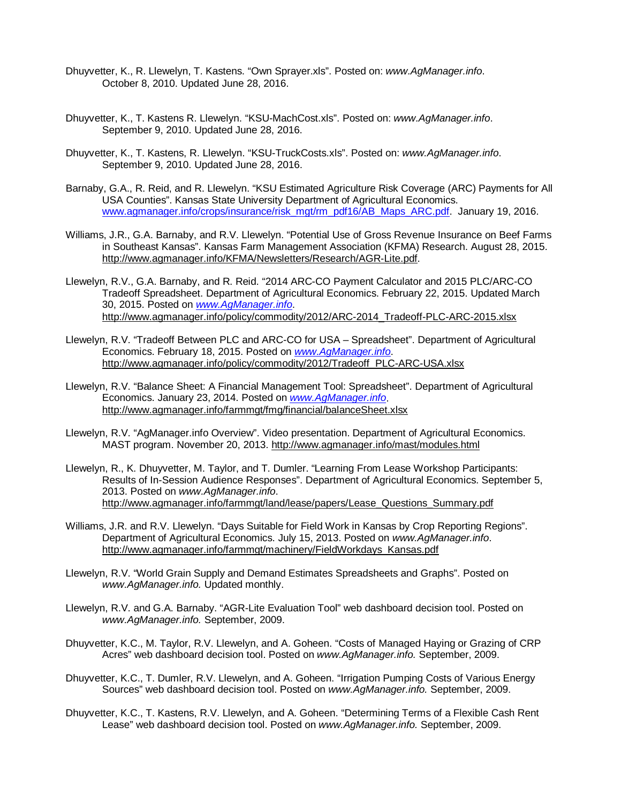- Dhuyvetter, K., R. Llewelyn, T. Kastens. "Own Sprayer.xls". Posted on: *www.AgManager.info*. October 8, 2010. Updated June 28, 2016.
- Dhuyvetter, K., T. Kastens R. Llewelyn. "KSU-MachCost.xls". Posted on: *www.AgManager.info*. September 9, 2010. Updated June 28, 2016.
- Dhuyvetter, K., T. Kastens, R. Llewelyn. "KSU-TruckCosts.xls". Posted on: *www.AgManager.info*. September 9, 2010. Updated June 28, 2016.
- Barnaby, G.A., R. Reid, and R. Llewelyn. "KSU Estimated Agriculture Risk Coverage (ARC) Payments for All USA Counties". Kansas State University Department of Agricultural Economics. [www.agmanager.info/crops/insurance/risk\\_mgt/rm\\_pdf16/AB\\_Maps\\_ARC.pdf.](http://www.agmanager.info/crops/insurance/risk_mgt/rm_pdf16/AB_Maps_ARC.pdf) January 19, 2016.
- Williams, J.R., G.A. Barnaby, and R.V. Llewelyn. "Potential Use of Gross Revenue Insurance on Beef Farms in Southeast Kansas". Kansas Farm Management Association (KFMA) Research. August 28, 2015. [http://www.agmanager.info/KFMA/Newsletters/Research/AGR](http://www.agmanager.info/KFMA/Newsletters/Research/AGR%E2%80%90Lite.pdf)‐Lite.pdf.
- Llewelyn, R.V., G.A. Barnaby, and R. Reid. "2014 ARC-CO Payment Calculator and 2015 PLC/ARC-CO Tradeoff Spreadsheet. Department of Agricultural Economics. February 22, 2015. Updated March 30, 2015. Posted on *[www.AgManager.info](http://www.agmanager.info/)*. [http://www.agmanager.info/policy/commodity/2012/ARC-2014\\_Tradeoff-PLC-ARC-2015.xlsx](http://www.agmanager.info/policy/commodity/2012/ARC-2014_Tradeoff-PLC-ARC-2015.xlsx)
- Llewelyn, R.V. "Tradeoff Between PLC and ARC-CO for USA Spreadsheet". Department of Agricultural Economics. February 18, 2015. Posted on *[www.AgManager.info](http://www.agmanager.info/)*. [http://www.agmanager.info/policy/commodity/2012/Tradeoff\\_PLC-ARC-USA.xlsx](http://www.agmanager.info/policy/commodity/2012/Tradeoff_PLC-ARC-USA.xlsx)
- Llewelyn, R.V. "Balance Sheet: A Financial Management Tool: Spreadsheet". Department of Agricultural Economics. January 23, 2014. Posted on *[www.AgManager.info](http://www.agmanager.info/)*. <http://www.agmanager.info/farmmgt/fmg/financial/balanceSheet.xlsx>
- Llewelyn, R.V. "AgManager.info Overview". Video presentation. Department of Agricultural Economics. MAST program. November 20, 2013.<http://www.agmanager.info/mast/modules.html>
- Llewelyn, R., K. Dhuyvetter, M. Taylor, and T. Dumler. "Learning From Lease Workshop Participants: Results of In-Session Audience Responses". Department of Agricultural Economics. September 5, 2013. Posted on *www.AgManager.info*. [http://www.agmanager.info/farmmgt/land/lease/papers/Lease\\_Questions\\_Summary.pdf](http://www.agmanager.info/farmmgt/land/lease/papers/Lease_Questions_Summary.pdf)
- Williams, J.R. and R.V. Llewelyn. "Days Suitable for Field Work in Kansas by Crop Reporting Regions". Department of Agricultural Economics. July 15, 2013. Posted on *www.AgManager.info*. [http://www.agmanager.info/farmmgt/machinery/FieldWorkdays\\_Kansas.pdf](http://www.agmanager.info/farmmgt/machinery/FieldWorkdays_Kansas.pdf)
- Llewelyn, R.V. "World Grain Supply and Demand Estimates Spreadsheets and Graphs". Posted on *www.AgManager.info.* Updated monthly.
- Llewelyn, R.V. and G.A. Barnaby. "AGR-Lite Evaluation Tool" web dashboard decision tool. Posted on *www.AgManager.info.* September, 2009.
- Dhuyvetter, K.C., M. Taylor, R.V. Llewelyn, and A. Goheen. "Costs of Managed Haying or Grazing of CRP Acres" web dashboard decision tool. Posted on *www.AgManager.info.* September, 2009.
- Dhuyvetter, K.C., T. Dumler, R.V. Llewelyn, and A. Goheen. "Irrigation Pumping Costs of Various Energy Sources" web dashboard decision tool. Posted on *www.AgManager.info.* September, 2009.
- Dhuyvetter, K.C., T. Kastens, R.V. Llewelyn, and A. Goheen. "Determining Terms of a Flexible Cash Rent Lease" web dashboard decision tool. Posted on *www.AgManager.info.* September, 2009.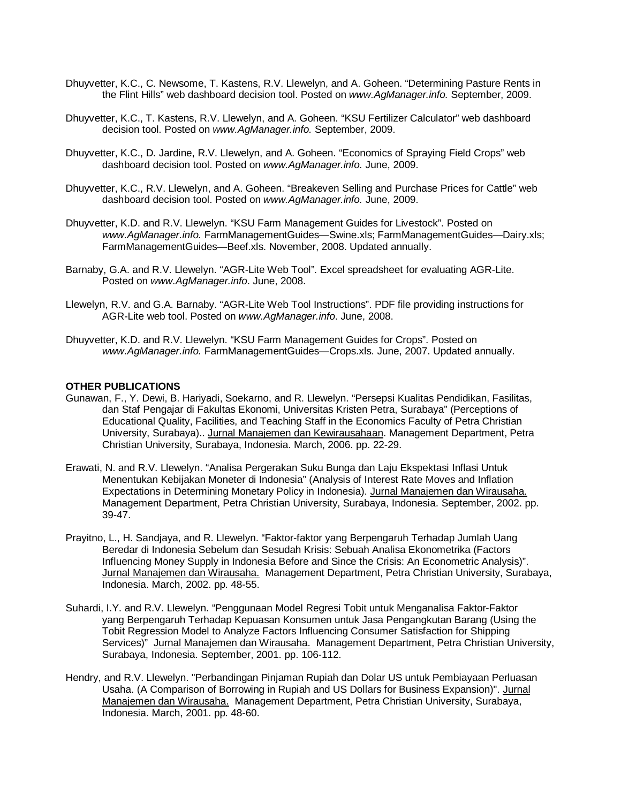- Dhuyvetter, K.C., C. Newsome, T. Kastens, R.V. Llewelyn, and A. Goheen. "Determining Pasture Rents in the Flint Hills" web dashboard decision tool. Posted on *www.AgManager.info.* September, 2009.
- Dhuyvetter, K.C., T. Kastens, R.V. Llewelyn, and A. Goheen. "KSU Fertilizer Calculator" web dashboard decision tool. Posted on *www.AgManager.info.* September, 2009.
- Dhuyvetter, K.C., D. Jardine, R.V. Llewelyn, and A. Goheen. "Economics of Spraying Field Crops" web dashboard decision tool. Posted on *www.AgManager.info.* June, 2009.
- Dhuyvetter, K.C., R.V. Llewelyn, and A. Goheen. "Breakeven Selling and Purchase Prices for Cattle" web dashboard decision tool. Posted on *www.AgManager.info.* June, 2009.
- Dhuyvetter, K.D. and R.V. Llewelyn. "KSU Farm Management Guides for Livestock". Posted on *www.AgManager.info.* FarmManagementGuides—Swine.xls; FarmManagementGuides—Dairy.xls; FarmManagementGuides—Beef.xls. November, 2008. Updated annually.
- Barnaby, G.A. and R.V. Llewelyn. "AGR-Lite Web Tool". Excel spreadsheet for evaluating AGR-Lite. Posted on *www.AgManager.info*. June, 2008.
- Llewelyn, R.V. and G.A. Barnaby. "AGR-Lite Web Tool Instructions". PDF file providing instructions for AGR-Lite web tool. Posted on *www.AgManager.info*. June, 2008.
- Dhuyvetter, K.D. and R.V. Llewelyn. "KSU Farm Management Guides for Crops". Posted on *www.AgManager.info.* FarmManagementGuides—Crops.xls. June, 2007. Updated annually.

#### **OTHER PUBLICATIONS**

- Gunawan, F., Y. Dewi, B. Hariyadi, Soekarno, and R. Llewelyn. "Persepsi Kualitas Pendidikan, Fasilitas, dan Staf Pengajar di Fakultas Ekonomi, Universitas Kristen Petra, Surabaya" (Perceptions of Educational Quality, Facilities, and Teaching Staff in the Economics Faculty of Petra Christian University, Surabaya).. Jurnal Manajemen dan Kewirausahaan. Management Department, Petra Christian University, Surabaya, Indonesia. March, 2006. pp. 22-29.
- Erawati, N. and R.V. Llewelyn. "Analisa Pergerakan Suku Bunga dan Laju Ekspektasi Inflasi Untuk Menentukan Kebijakan Moneter di Indonesia" (Analysis of Interest Rate Moves and Inflation Expectations in Determining Monetary Policy in Indonesia). Jurnal Manajemen dan Wirausaha. Management Department, Petra Christian University, Surabaya, Indonesia. September, 2002. pp. 39-47.
- Prayitno, L., H. Sandjaya, and R. Llewelyn. "Faktor-faktor yang Berpengaruh Terhadap Jumlah Uang Beredar di Indonesia Sebelum dan Sesudah Krisis: Sebuah Analisa Ekonometrika (Factors Influencing Money Supply in Indonesia Before and Since the Crisis: An Econometric Analysis)". Jurnal Manajemen dan Wirausaha. Management Department, Petra Christian University, Surabaya, Indonesia. March, 2002. pp. 48-55.
- Suhardi, I.Y. and R.V. Llewelyn. "Penggunaan Model Regresi Tobit untuk Menganalisa Faktor-Faktor yang Berpengaruh Terhadap Kepuasan Konsumen untuk Jasa Pengangkutan Barang (Using the Tobit Regression Model to Analyze Factors Influencing Consumer Satisfaction for Shipping Services)" Jurnal Manajemen dan Wirausaha. Management Department, Petra Christian University, Surabaya, Indonesia. September, 2001. pp. 106-112.
- Hendry, and R.V. Llewelyn. "Perbandingan Pinjaman Rupiah dan Dolar US untuk Pembiayaan Perluasan Usaha. (A Comparison of Borrowing in Rupiah and US Dollars for Business Expansion)". Jurnal Manajemen dan Wirausaha. Management Department, Petra Christian University, Surabaya, Indonesia. March, 2001. pp. 48-60.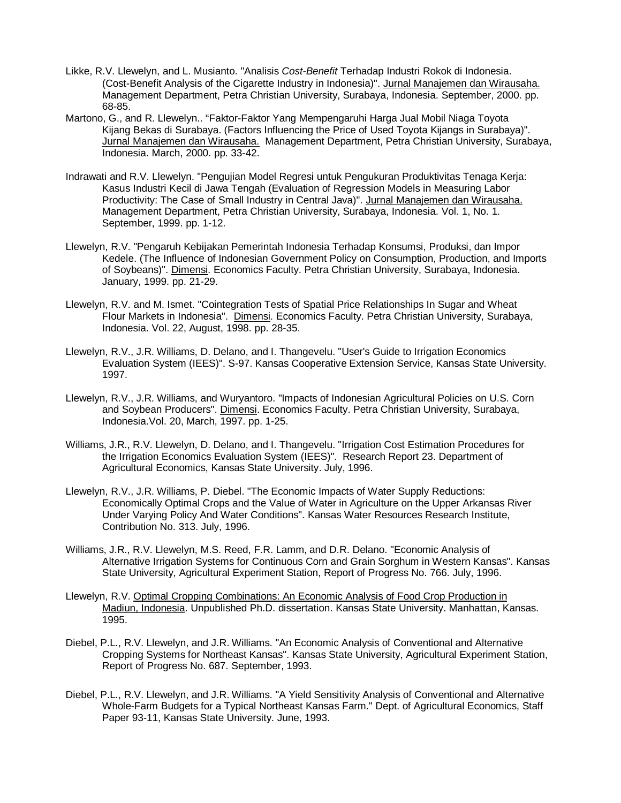- Likke, R.V. Llewelyn, and L. Musianto. "Analisis *Cost-Benefit* Terhadap Industri Rokok di Indonesia. (Cost-Benefit Analysis of the Cigarette Industry in Indonesia)". Jurnal Manajemen dan Wirausaha. Management Department, Petra Christian University, Surabaya, Indonesia. September, 2000. pp. 68-85.
- Martono, G., and R. Llewelyn.. "Faktor-Faktor Yang Mempengaruhi Harga Jual Mobil Niaga Toyota Kijang Bekas di Surabaya. (Factors Influencing the Price of Used Toyota Kijangs in Surabaya)". Jurnal Manajemen dan Wirausaha. Management Department, Petra Christian University, Surabaya, Indonesia. March, 2000. pp. 33-42.
- Indrawati and R.V. Llewelyn. "Pengujian Model Regresi untuk Pengukuran Produktivitas Tenaga Kerja: Kasus Industri Kecil di Jawa Tengah (Evaluation of Regression Models in Measuring Labor Productivity: The Case of Small Industry in Central Java)". Jurnal Manajemen dan Wirausaha. Management Department, Petra Christian University, Surabaya, Indonesia. Vol. 1, No. 1. September, 1999. pp. 1-12.
- Llewelyn, R.V. "Pengaruh Kebijakan Pemerintah Indonesia Terhadap Konsumsi, Produksi, dan Impor Kedele. (The Influence of Indonesian Government Policy on Consumption, Production, and Imports of Soybeans)". Dimensi. Economics Faculty. Petra Christian University, Surabaya, Indonesia. January, 1999. pp. 21-29.
- Llewelyn, R.V. and M. Ismet. "Cointegration Tests of Spatial Price Relationships In Sugar and Wheat Flour Markets in Indonesia". Dimensi. Economics Faculty. Petra Christian University, Surabaya, Indonesia. Vol. 22, August, 1998. pp. 28-35.
- Llewelyn, R.V., J.R. Williams, D. Delano, and I. Thangevelu. "User's Guide to Irrigation Economics Evaluation System (IEES)". S-97. Kansas Cooperative Extension Service, Kansas State University. 1997.
- Llewelyn, R.V., J.R. Williams, and Wuryantoro. "Impacts of Indonesian Agricultural Policies on U.S. Corn and Soybean Producers". Dimensi. Economics Faculty. Petra Christian University, Surabaya, Indonesia.Vol. 20, March, 1997. pp. 1-25.
- Williams, J.R., R.V. Llewelyn, D. Delano, and I. Thangevelu. "Irrigation Cost Estimation Procedures for the Irrigation Economics Evaluation System (IEES)". Research Report 23. Department of Agricultural Economics, Kansas State University. July, 1996.
- Llewelyn, R.V., J.R. Williams, P. Diebel. "The Economic Impacts of Water Supply Reductions: Economically Optimal Crops and the Value of Water in Agriculture on the Upper Arkansas River Under Varying Policy And Water Conditions". Kansas Water Resources Research Institute, Contribution No. 313. July, 1996.
- Williams, J.R., R.V. Llewelyn, M.S. Reed, F.R. Lamm, and D.R. Delano. "Economic Analysis of Alternative Irrigation Systems for Continuous Corn and Grain Sorghum in Western Kansas". Kansas State University, Agricultural Experiment Station, Report of Progress No. 766. July, 1996.
- Llewelyn, R.V. Optimal Cropping Combinations: An Economic Analysis of Food Crop Production in Madiun, Indonesia. Unpublished Ph.D. dissertation. Kansas State University. Manhattan, Kansas. 1995.
- Diebel, P.L., R.V. Llewelyn, and J.R. Williams. "An Economic Analysis of Conventional and Alternative Cropping Systems for Northeast Kansas". Kansas State University, Agricultural Experiment Station, Report of Progress No. 687. September, 1993.
- Diebel, P.L., R.V. Llewelyn, and J.R. Williams. "A Yield Sensitivity Analysis of Conventional and Alternative Whole-Farm Budgets for a Typical Northeast Kansas Farm." Dept. of Agricultural Economics, Staff Paper 93-11, Kansas State University. June, 1993.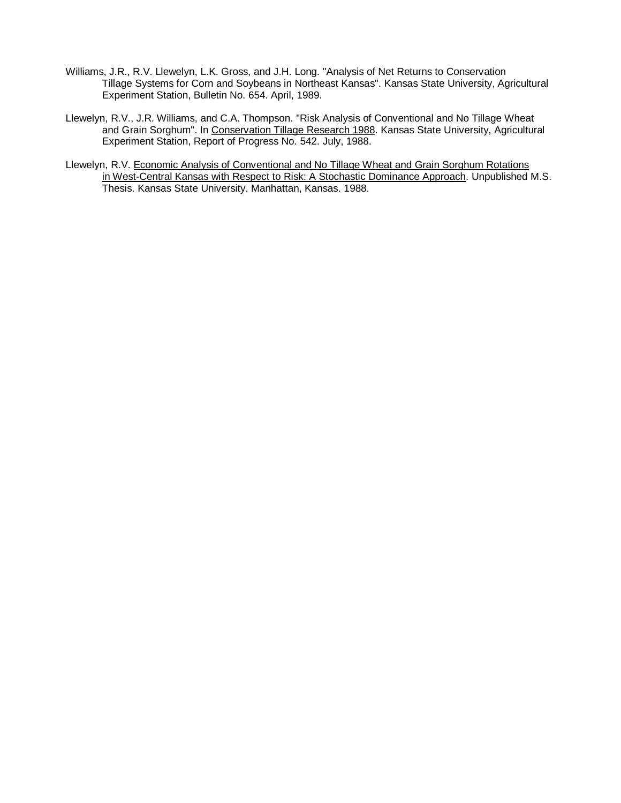- Williams, J.R., R.V. Llewelyn, L.K. Gross, and J.H. Long. "Analysis of Net Returns to Conservation Tillage Systems for Corn and Soybeans in Northeast Kansas". Kansas State University, Agricultural Experiment Station, Bulletin No. 654. April, 1989.
- Llewelyn, R.V., J.R. Williams, and C.A. Thompson. "Risk Analysis of Conventional and No Tillage Wheat and Grain Sorghum". In Conservation Tillage Research 1988. Kansas State University, Agricultural Experiment Station, Report of Progress No. 542. July, 1988.
- Llewelyn, R.V. Economic Analysis of Conventional and No Tillage Wheat and Grain Sorghum Rotations in West-Central Kansas with Respect to Risk: A Stochastic Dominance Approach. Unpublished M.S. Thesis. Kansas State University. Manhattan, Kansas. 1988.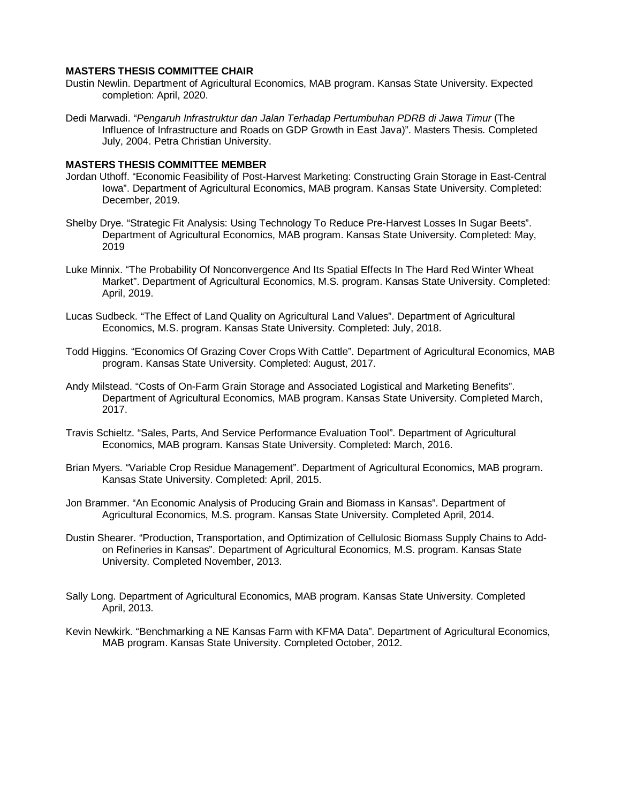#### **MASTERS THESIS COMMITTEE CHAIR**

- Dustin Newlin. Department of Agricultural Economics, MAB program. Kansas State University. Expected completion: April, 2020.
- Dedi Marwadi. "*Pengaruh Infrastruktur dan Jalan Terhadap Pertumbuhan PDRB di Jawa Timur* (The Influence of Infrastructure and Roads on GDP Growth in East Java)". Masters Thesis. Completed July, 2004. Petra Christian University.

#### **MASTERS THESIS COMMITTEE MEMBER**

- Jordan Uthoff. "Economic Feasibility of Post-Harvest Marketing: Constructing Grain Storage in East-Central Iowa". Department of Agricultural Economics, MAB program. Kansas State University. Completed: December, 2019.
- Shelby Drye. "Strategic Fit Analysis: Using Technology To Reduce Pre-Harvest Losses In Sugar Beets". Department of Agricultural Economics, MAB program. Kansas State University. Completed: May, 2019
- Luke Minnix. "The Probability Of Nonconvergence And Its Spatial Effects In The Hard Red Winter Wheat Market". Department of Agricultural Economics, M.S. program. Kansas State University. Completed: April, 2019.
- Lucas Sudbeck. "The Effect of Land Quality on Agricultural Land Values". Department of Agricultural Economics, M.S. program. Kansas State University. Completed: July, 2018.
- Todd Higgins. "Economics Of Grazing Cover Crops With Cattle". Department of Agricultural Economics, MAB program. Kansas State University. Completed: August, 2017.
- Andy Milstead. "Costs of On-Farm Grain Storage and Associated Logistical and Marketing Benefits". Department of Agricultural Economics, MAB program. Kansas State University. Completed March, 2017.
- Travis Schieltz. "Sales, Parts, And Service Performance Evaluation Tool". Department of Agricultural Economics, MAB program. Kansas State University. Completed: March, 2016.
- Brian Myers. "Variable Crop Residue Management". Department of Agricultural Economics, MAB program. Kansas State University. Completed: April, 2015.
- Jon Brammer. "An Economic Analysis of Producing Grain and Biomass in Kansas". Department of Agricultural Economics, M.S. program. Kansas State University. Completed April, 2014.
- Dustin Shearer. "Production, Transportation, and Optimization of Cellulosic Biomass Supply Chains to Addon Refineries in Kansas". Department of Agricultural Economics, M.S. program. Kansas State University. Completed November, 2013.
- Sally Long. Department of Agricultural Economics, MAB program. Kansas State University. Completed April, 2013.
- Kevin Newkirk. "Benchmarking a NE Kansas Farm with KFMA Data". Department of Agricultural Economics, MAB program. Kansas State University. Completed October, 2012.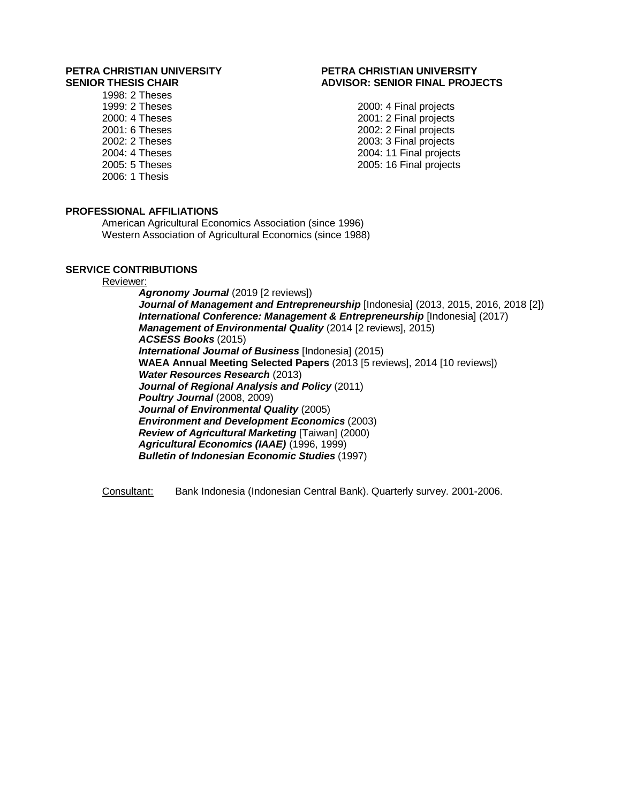# **PETRA CHRISTIAN UNIVERSITY PETRA CHRISTIAN UNIVERSITY**

1998: 2 Theses 2006: 1 Thesis

## **SENIOR THESIS CHAIR ADVISOR: SENIOR FINAL PROJECTS**

1999: 2 Theses 2000: 2 Theses 2000: 2 Final projects<br>2000: 4 Theses 2000: 2 Final projects 2000: 4 Theses 2001: 2 Final projects 2001: 6 Theses 2002: 2 Final projects 2003: 3 Final projects 2004: 4 Theses 2004: 11 Final projects 2005: 16 Final projects

### **PROFESSIONAL AFFILIATIONS**

American Agricultural Economics Association (since 1996) Western Association of Agricultural Economics (since 1988)

#### **SERVICE CONTRIBUTIONS**

#### Reviewer:

*Agronomy Journal* (2019 [2 reviews]) *Journal of Management and Entrepreneurship* [Indonesia] (2013, 2015, 2016, 2018 [2]) **International Conference: Management & Entrepreneurship** [Indonesia] (2017) *Management of Environmental Quality* (2014 [2 reviews], 2015) *ACSESS Books* (2015) *International Journal of Business* [Indonesia] (2015) **WAEA Annual Meeting Selected Papers** (2013 [5 reviews], 2014 [10 reviews]) *Water Resources Research* (2013) *Journal of Regional Analysis and Policy* (2011) *Poultry Journal* (2008, 2009) *Journal of Environmental Quality* (2005) *Environment and Development Economics* (2003) *Review of Agricultural Marketing* [Taiwan] (2000) *Agricultural Economics (IAAE)* (1996, 1999) *Bulletin of Indonesian Economic Studies* (1997)

Consultant: Bank Indonesia (Indonesian Central Bank). Quarterly survey. 2001-2006.